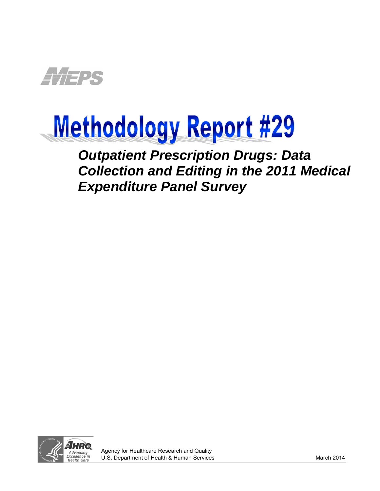

# Methodology Report #29

 *Outpatient Prescription Drugs: Data Collection and Editing in the 2011 Medical Expenditure Panel Survey*

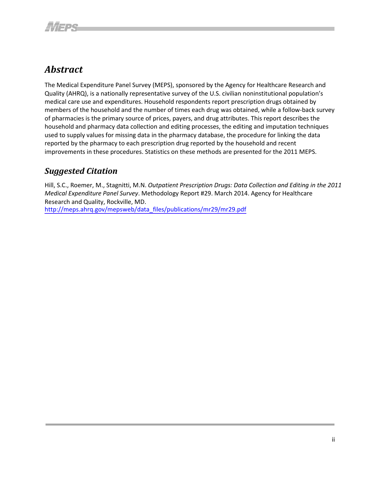# <span id="page-1-0"></span>*Abstract*

The Medical Expenditure Panel Survey (MEPS), sponsored by the Agency for Healthcare Research and Quality (AHRQ), is a nationally representative survey of the U.S. civilian noninstitutional population's medical care use and expenditures. Household respondents report prescription drugs obtained by members of the household and the number of times each drug was obtained, while a follow-back survey of pharmacies is the primary source of prices, payers, and drug attributes. This report describes the household and pharmacy data collection and editing processes, the editing and imputation techniques used to supply values for missing data in the pharmacy database, the procedure for linking the data reported by the pharmacy to each prescription drug reported by the household and recent improvements in these procedures. Statistics on these methods are presented for the 2011 MEPS.

# <span id="page-1-1"></span>*Suggested Citation*

Hill, S.C., Roemer, M., Stagnitti, M.N. *Outpatient Prescription Drugs: Data Collection and Editing in the 2011 Medical Expenditure Panel Survey*. Methodology Report #29. March 2014. Agency for Healthcare Research and Quality, Rockville, MD. [http://meps.ahrq.gov/mepsweb/data\\_files/publications/mr29/mr29.pdf](http://meps.ahrq.gov/mepsweb/data_files/publications/mr29/mr29.pdf)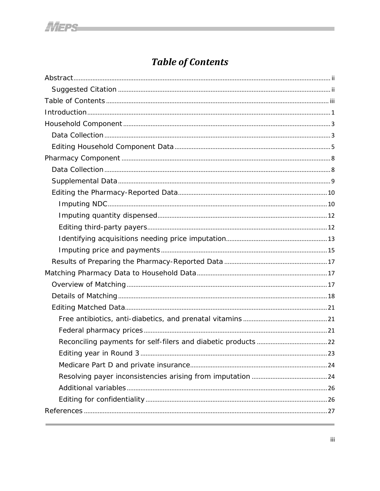# **Table of Contents**

<span id="page-2-0"></span>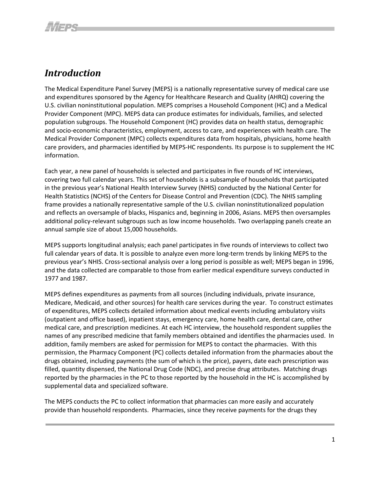# <span id="page-3-0"></span>*Introduction*

The Medical Expenditure Panel Survey (MEPS) is a nationally representative survey of medical care use and expenditures sponsored by the Agency for Healthcare Research and Quality (AHRQ) covering the U.S. civilian noninstitutional population. MEPS comprises a Household Component (HC) and a Medical Provider Component (MPC). MEPS data can produce estimates for individuals, families, and selected population subgroups. The Household Component (HC) provides data on health status, demographic and socio-economic characteristics, employment, access to care, and experiences with health care. The Medical Provider Component (MPC) collects expenditures data from hospitals, physicians, home health care providers, and pharmacies identified by MEPS-HC respondents. Its purpose is to supplement the HC information.

Each year, a new panel of households is selected and participates in five rounds of HC interviews, covering two full calendar years. This set of households is a subsample of households that participated in the previous year's National Health Interview Survey (NHIS) conducted by the National Center for Health Statistics (NCHS) of the Centers for Disease Control and Prevention (CDC). The NHIS sampling frame provides a nationally representative sample of the U.S. civilian noninstitutionalized population and reflects an oversample of blacks, Hispanics and, beginning in 2006, Asians. MEPS then oversamples additional policy-relevant subgroups such as low income households. Two overlapping panels create an annual sample size of about 15,000 households.

MEPS supports longitudinal analysis; each panel participates in five rounds of interviews to collect two full calendar years of data. It is possible to analyze even more long-term trends by linking MEPS to the previous year's NHIS. Cross-sectional analysis over a long period is possible as well; MEPS began in 1996, and the data collected are comparable to those from earlier medical expenditure surveys conducted in 1977 and 1987.

MEPS defines expenditures as payments from all sources (including individuals, private insurance, Medicare, Medicaid, and other sources) for health care services during the year. To construct estimates of expenditures, MEPS collects detailed information about medical events including ambulatory visits (outpatient and office based), inpatient stays, emergency care, home health care, dental care, other medical care, and prescription medicines. At each HC interview, the household respondent supplies the names of any prescribed medicine that family members obtained and identifies the pharmacies used. In addition, family members are asked for permission for MEPS to contact the pharmacies. With this permission, the Pharmacy Component (PC) collects detailed information from the pharmacies about the drugs obtained, including payments (the sum of which is the price), payers, date each prescription was filled, quantity dispensed, the National Drug Code (NDC), and precise drug attributes. Matching drugs reported by the pharmacies in the PC to those reported by the household in the HC is accomplished by supplemental data and specialized software.

The MEPS conducts the PC to collect information that pharmacies can more easily and accurately provide than household respondents. Pharmacies, since they receive payments for the drugs they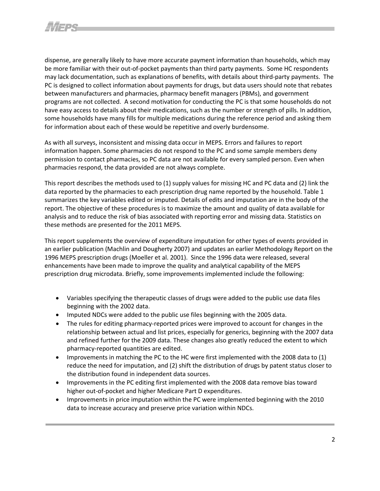dispense, are generally likely to have more accurate payment information than households, which may be more familiar with their out-of-pocket payments than third party payments. Some HC respondents may lack documentation, such as explanations of benefits, with details about third-party payments. The PC is designed to collect information about payments for drugs, but data users should note that rebates between manufacturers and pharmacies, pharmacy benefit managers (PBMs), and government programs are not collected. A second motivation for conducting the PC is that some households do not have easy access to details about their medications, such as the number or strength of pills. In addition, some households have many fills for multiple medications during the reference period and asking them for information about each of these would be repetitive and overly burdensome.

As with all surveys, inconsistent and missing data occur in MEPS. Errors and failures to report information happen. Some pharmacies do not respond to the PC and some sample members deny permission to contact pharmacies, so PC data are not available for every sampled person. Even when pharmacies respond, the data provided are not always complete.

This report describes the methods used to (1) supply values for missing HC and PC data and (2) link the data reported by the pharmacies to each prescription drug name reported by the household. Table 1 summarizes the key variables edited or imputed. Details of edits and imputation are in the body of the report. The objective of these procedures is to maximize the amount and quality of data available for analysis and to reduce the risk of bias associated with reporting error and missing data. Statistics on these methods are presented for the 2011 MEPS.

This report supplements the overview of expenditure imputation for other types of events provided in an earlier publication (Machlin and Dougherty 2007) and updates an earlier Methodology Report on the 1996 MEPS prescription drugs (Moeller et al. 2001). Since the 1996 data were released, several enhancements have been made to improve the quality and analytical capability of the MEPS prescription drug microdata. Briefly, some improvements implemented include the following:

- Variables specifying the therapeutic classes of drugs were added to the public use data files beginning with the 2002 data.
- Imputed NDCs were added to the public use files beginning with the 2005 data.
- The rules for editing pharmacy-reported prices were improved to account for changes in the relationship between actual and list prices, especially for generics, beginning with the 2007 data and refined further for the 2009 data. These changes also greatly reduced the extent to which pharmacy-reported quantities are edited.
- Improvements in matching the PC to the HC were first implemented with the 2008 data to (1) reduce the need for imputation, and (2) shift the distribution of drugs by patent status closer to the distribution found in independent data sources.
- Improvements in the PC editing first implemented with the 2008 data remove bias toward higher out-of-pocket and higher Medicare Part D expenditures.
- Improvements in price imputation within the PC were implemented beginning with the 2010 data to increase accuracy and preserve price variation within NDCs.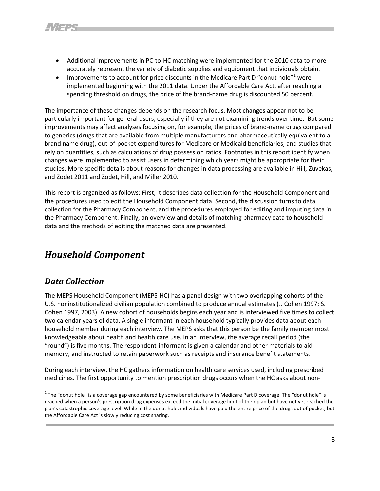- Additional improvements in PC-to-HC matching were implemented for the 2010 data to more accurately represent the variety of diabetic supplies and equipment that individuals obtain.
- Improvements to account for price discounts in the Medicare Part D "donut hole" $1$  were implemented beginning with the 2011 data. Under the Affordable Care Act, after reaching a spending threshold on drugs, the price of the brand-name drug is discounted 50 percent.

The importance of these changes depends on the research focus. Most changes appear not to be particularly important for general users, especially if they are not examining trends over time. But some improvements may affect analyses focusing on, for example, the prices of brand-name drugs compared to generics (drugs that are available from multiple manufacturers and pharmaceutically equivalent to a brand name drug), out-of-pocket expenditures for Medicare or Medicaid beneficiaries, and studies that rely on quantities, such as calculations of drug possession ratios. Footnotes in this report identify when changes were implemented to assist users in determining which years might be appropriate for their studies. More specific details about reasons for changes in data processing are available in Hill, Zuvekas, and Zodet 2011 and Zodet, Hill, and Miller 2010.

This report is organized as follows: First, it describes data collection for the Household Component and the procedures used to edit the Household Component data. Second, the discussion turns to data collection for the Pharmacy Component, and the procedures employed for editing and imputing data in the Pharmacy Component. Finally, an overview and details of matching pharmacy data to household data and the methods of editing the matched data are presented.

# <span id="page-5-0"></span>*Household Component*

# <span id="page-5-1"></span>*Data Collection*

 $\overline{\phantom{a}}$ 

The MEPS Household Component (MEPS-HC) has a panel design with two overlapping cohorts of the U.S. noninstitutionalized civilian population combined to produce annual estimates (J. Cohen 1997; S. Cohen 1997, 2003). A new cohort of households begins each year and is interviewed five times to collect two calendar years of data. A single informant in each household typically provides data about each household member during each interview. The MEPS asks that this person be the family member most knowledgeable about health and health care use. In an interview, the average recall period (the "round") is five months. The respondent-informant is given a calendar and other materials to aid memory, and instructed to retain paperwork such as receipts and insurance benefit statements.

During each interview, the HC gathers information on health care services used, including prescribed medicines. The first opportunity to mention prescription drugs occurs when the HC asks about non-

 $1$  The "donut hole" is a coverage gap encountered by some beneficiaries with Medicare Part D coverage. The "donut hole" is reached when a person's prescription drug expenses exceed the initial coverage limit of their plan but have not yet reached the plan'[s catastrophic coverage](http://www.medicareresources.org/glossary/catastrophic-coverage/) level. While in the donut hole, individuals have paid the entire price of the drugs out of pocket, but the Affordable Care Act is slowly reducing cost sharing.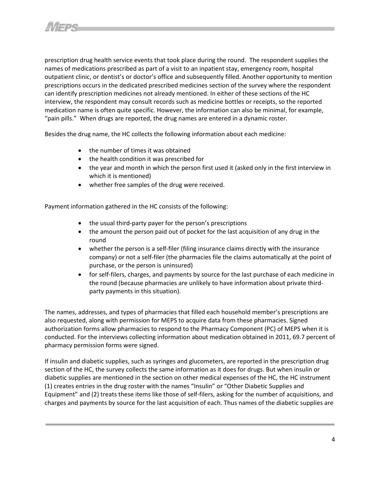prescription drug health service events that took place during the round. The respondent supplies the names of medications prescribed as part of a visit to an inpatient stay, emergency room, hospital outpatient clinic, or dentist's or doctor's office and subsequently filled. Another opportunity to mention prescriptions occurs in the dedicated prescribed medicines section of the survey where the respondent can identify prescription medicines not already mentioned. In either of these sections of the HC interview, the respondent may consult records such as medicine bottles or receipts, so the reported medication name is often quite specific. However, the information can also be minimal, for example, "pain pills." When drugs are reported, the drug names are entered in a dynamic roster.

Besides the drug name, the HC collects the following information about each medicine:

- the number of times it was obtained
- the health condition it was prescribed for
- the year and month in which the person first used it (asked only in the first interview in which it is mentioned)
- whether free samples of the drug were received.

Payment information gathered in the HC consists of the following:

- the usual third-party payer for the person's prescriptions
- the amount the person paid out of pocket for the last acquisition of any drug in the round
- whether the person is a self-filer (filing insurance claims directly with the insurance company) or not a self-filer (the pharmacies file the claims automatically at the point of purchase, or the person is uninsured)
- for self-filers, charges, and payments by source for the last purchase of each medicine in the round (because pharmacies are unlikely to have information about private thirdparty payments in this situation).

The names, addresses, and types of pharmacies that filled each household member's prescriptions are also requested, along with permission for MEPS to acquire data from these pharmacies. Signed authorization forms allow pharmacies to respond to the Pharmacy Component (PC) of MEPS when it is conducted. For the interviews collecting information about medication obtained in 2011, 69.7 percent of pharmacy permission forms were signed.

If insulin and diabetic supplies, such as syringes and glucometers, are reported in the prescription drug section of the HC, the survey collects the same information as it does for drugs. But when insulin or diabetic supplies are mentioned in the section on other medical expenses of the HC, the HC instrument (1) creates entries in the drug roster with the names "Insulin" or "Other Diabetic Supplies and Equipment" and (2) treats these items like those of self-filers, asking for the number of acquisitions, and charges and payments by source for the last acquisition of each. Thus names of the diabetic supplies are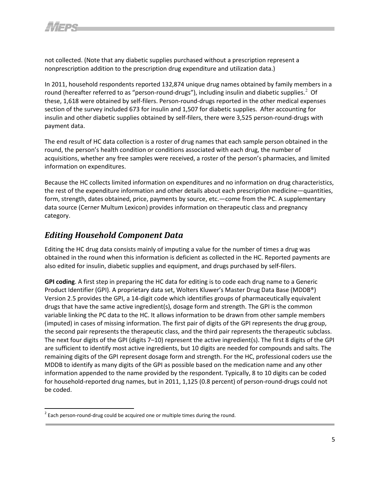not collected. (Note that any diabetic supplies purchased without a prescription represent a nonprescription addition to the prescription drug expenditure and utilization data.)

In 2011, household respondents reported 132,874 unique drug names obtained by family members in a round (hereafter referred to as "person-round-drugs"), including insulin and diabetic supplies.<sup>[2](#page-9-0)</sup> Of these, 1,618 were obtained by self-filers. Person-round-drugs reported in the other medical expenses section of the survey included 673 for insulin and 1,507 for diabetic supplies. After accounting for insulin and other diabetic supplies obtained by self-filers, there were 3,525 person-round-drugs with payment data.

The end result of HC data collection is a roster of drug names that each sample person obtained in the round, the person's health condition or conditions associated with each drug, the number of acquisitions, whether any free samples were received, a roster of the person's pharmacies, and limited information on expenditures.

Because the HC collects limited information on expenditures and no information on drug characteristics, the rest of the expenditure information and other details about each prescription medicine—quantities, form, strength, dates obtained, price, payments by source, etc.—come from the PC. A supplementary data source (Cerner Multum Lexicon) provides information on therapeutic class and pregnancy category.

# <span id="page-7-0"></span>*Editing Household Component Data*

Editing the HC drug data consists mainly of imputing a value for the number of times a drug was obtained in the round when this information is deficient as collected in the HC. Reported payments are also edited for insulin, diabetic supplies and equipment, and drugs purchased by self-filers.

**GPI coding**. A first step in preparing the HC data for editing is to code each drug name to a Generic Product Identifier (GPI). A proprietary data set, Wolters Kluwer's Master Drug Data Base (MDDB®) Version 2.5 provides the GPI, a 14-digit code which identifies groups of pharmaceutically equivalent drugs that have the same active ingredient(s), dosage form and strength. The GPI is the common variable linking the PC data to the HC. It allows information to be drawn from other sample members (imputed) in cases of missing information. The first pair of digits of the GPI represents the drug group, the second pair represents the therapeutic class, and the third pair represents the therapeutic subclass. The next four digits of the GPI (digits 7–10) represent the active ingredient(s). The first 8 digits of the GPI are sufficient to identify most active ingredients, but 10 digits are needed for compounds and salts. The remaining digits of the GPI represent dosage form and strength. For the HC, professional coders use the MDDB to identify as many digits of the GPI as possible based on the medication name and any other information appended to the name provided by the respondent. Typically, 8 to 10 digits can be coded for household-reported drug names, but in 2011, 1,125 (0.8 percent) of person-round-drugs could not be coded.

<span id="page-7-1"></span> $2$  Each person-round-drug could be acquired one or multiple times during the round.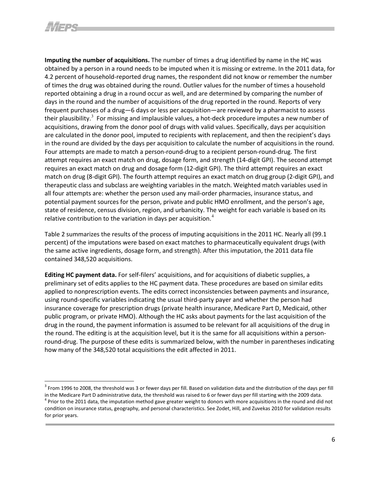**Imputing the number of acquisitions.** The number of times a drug identified by name in the HC was obtained by a person in a round needs to be imputed when it is missing or extreme. In the 2011 data, for 4.2 percent of household-reported drug names, the respondent did not know or remember the number of times the drug was obtained during the round. Outlier values for the number of times a household reported obtaining a drug in a round occur as well, and are determined by comparing the number of days in the round and the number of acquisitions of the drug reported in the round. Reports of very frequent purchases of a drug—6 days or less per acquisition—are reviewed by a pharmacist to assess their plausibility.<sup>[3](#page-10-2)</sup> For missing and implausible values, a hot-deck procedure imputes a new number of acquisitions, drawing from the donor pool of drugs with valid values. Specifically, days per acquisition are calculated in the donor pool, imputed to recipients with replacement, and then the recipient's days in the round are divided by the days per acquisition to calculate the number of acquisitions in the round. Four attempts are made to match a person-round-drug to a recipient person-round-drug. The first attempt requires an exact match on drug, dosage form, and strength (14-digit GPI). The second attempt requires an exact match on drug and dosage form (12-digit GPI). The third attempt requires an exact match on drug (8-digit GPI). The fourth attempt requires an exact match on drug group (2-digit GPI), and therapeutic class and subclass are weighting variables in the match. Weighted match variables used in all four attempts are: whether the person used any mail-order pharmacies, insurance status, and potential payment sources for the person, private and public HMO enrollment, and the person's age, state of residence, census division, region, and urbanicity. The weight for each variable is based on its relative contribution to the variation in days per acquisition.<sup>[4](#page-10-3)</sup>

Table 2 summarizes the results of the process of imputing acquisitions in the 2011 HC. Nearly all (99.1 percent) of the imputations were based on exact matches to pharmaceutically equivalent drugs (with the same active ingredients, dosage form, and strength). After this imputation, the 2011 data file contained 348,520 acquisitions.

**Editing HC payment data.** For self-filers' acquisitions, and for acquisitions of diabetic supplies, a preliminary set of edits applies to the HC payment data. These procedures are based on similar edits applied to nonprescription events. The edits correct inconsistencies between payments and insurance, using round-specific variables indicating the usual third-party payer and whether the person had insurance coverage for prescription drugs (private health insurance, Medicare Part D, Medicaid, other public program, or private HMO). Although the HC asks about payments for the last acquisition of the drug in the round, the payment information is assumed to be relevant for all acquisitions of the drug in the round. The editing is at the acquisition level, but it is the same for all acquisitions within a personround-drug. The purpose of these edits is summarized below, with the number in parentheses indicating how many of the 348,520 total acquisitions the edit affected in 2011.

 $3$  From 1996 to 2008, the threshold was 3 or fewer days per fill. Based on validation data and the distribution of the days per fill

in the Medicare Part D administrative data, the threshold was raised to 6 or fewer days per fill starting with the 2009 data.<br><sup>4</sup> Prior to the 2011 data, the imputation method gave greater weight to donors with more acqui condition on insurance status, geography, and personal characteristics. See Zodet, Hill, and Zuvekas 2010 for validation results for prior years.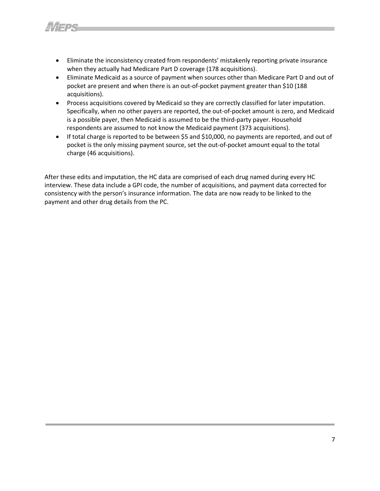- Eliminate the inconsistency created from respondents' mistakenly reporting private insurance when they actually had Medicare Part D coverage (178 acquisitions).
- Eliminate Medicaid as a source of payment when sources other than Medicare Part D and out of pocket are present and when there is an out-of-pocket payment greater than \$10 (188 acquisitions).
- Process acquisitions covered by Medicaid so they are correctly classified for later imputation. Specifically, when no other payers are reported, the out-of-pocket amount is zero, and Medicaid is a possible payer, then Medicaid is assumed to be the third-party payer. Household respondents are assumed to not know the Medicaid payment (373 acquisitions).
- If total charge is reported to be between \$5 and \$10,000, no payments are reported, and out of pocket is the only missing payment source, set the out-of-pocket amount equal to the total charge (46 acquisitions).

<span id="page-9-0"></span>After these edits and imputation, the HC data are comprised of each drug named during every HC interview. These data include a GPI code, the number of acquisitions, and payment data corrected for consistency with the person's insurance information. The data are now ready to be linked to the payment and other drug details from the PC.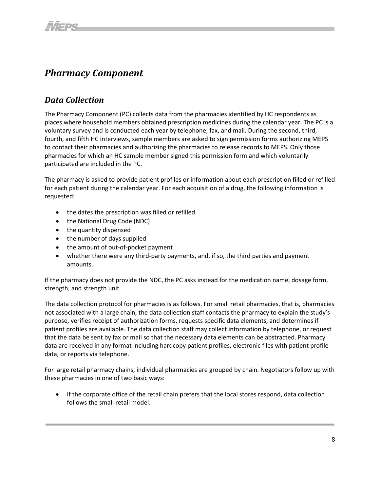# <span id="page-10-0"></span>*Pharmacy Component*

# <span id="page-10-1"></span>*Data Collection*

The Pharmacy Component (PC) collects data from the pharmacies identified by HC respondents as places where household members obtained prescription medicines during the calendar year. The PC is a voluntary survey and is conducted each year by telephone, fax, and mail. During the second, third, fourth, and fifth HC interviews, sample members are asked to sign permission forms authorizing MEPS to contact their pharmacies and authorizing the pharmacies to release records to MEPS. Only those pharmacies for which an HC sample member signed this permission form and which voluntarily participated are included in the PC.

The pharmacy is asked to provide patient profiles or information about each prescription filled or refilled for each patient during the calendar year. For each acquisition of a drug, the following information is requested:

- the dates the prescription was filled or refilled
- the National Drug Code (NDC)
- the quantity dispensed
- the number of days supplied
- the amount of out-of-pocket payment
- whether there were any third-party payments, and, if so, the third parties and payment amounts.

If the pharmacy does not provide the NDC, the PC asks instead for the medication name, dosage form, strength, and strength unit.

The data collection protocol for pharmacies is as follows. For small retail pharmacies, that is, pharmacies not associated with a large chain, the data collection staff contacts the pharmacy to explain the study's purpose, verifies receipt of authorization forms, requests specific data elements, and determines if patient profiles are available. The data collection staff may collect information by telephone, or request that the data be sent by fax or mail so that the necessary data elements can be abstracted. Pharmacy data are received in any format including hardcopy patient profiles, electronic files with patient profile data, or reports via telephone.

<span id="page-10-3"></span><span id="page-10-2"></span>For large retail pharmacy chains, individual pharmacies are grouped by chain. Negotiators follow up with these pharmacies in one of two basic ways:

• If the corporate office of the retail chain prefers that the local stores respond, data collection follows the small retail model.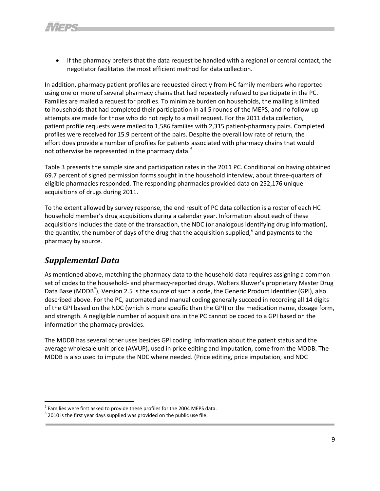• If the pharmacy prefers that the data request be handled with a regional or central contact, the negotiator facilitates the most efficient method for data collection.

In addition, pharmacy patient profiles are requested directly from HC family members who reported using one or more of several pharmacy chains that had repeatedly refused to participate in the PC. Families are mailed a request for profiles. To minimize burden on households, the mailing is limited to households that had completed their participation in all 5 rounds of the MEPS, and no follow-up attempts are made for those who do not reply to a mail request. For the 2011 data collection, patient profile requests were mailed to 1,586 families with 2,315 patient-pharmacy pairs. Completed profiles were received for 15.9 percent of the pairs. Despite the overall low rate of return, the effort does provide a number of profiles for patients associated with pharmacy chains that would not otherwise be represented in the pharmacy data.<sup>[5](#page-13-1)</sup>

Table 3 presents the sample size and participation rates in the 2011 PC. Conditional on having obtained 69.7 percent of signed permission forms sought in the household interview, about three-quarters of eligible pharmacies responded. The responding pharmacies provided data on 252,176 unique acquisitions of drugs during 2011.

To the extent allowed by survey response, the end result of PC data collection is a roster of each HC household member's drug acquisitions during a calendar year. Information about each of these acquisitions includes the date of the transaction, the NDC (or analogous identifying drug information), the quantity, the number of days of the drug that the acquisition supplied, $^{\circ}$  and payments to the pharmacy by source.

# <span id="page-11-0"></span>*Supplemental Data*

l

As mentioned above, matching the pharmacy data to the household data requires assigning a common set of codes to the household- and pharmacy-reported drugs. Wolters Kluwer's proprietary Master Drug Data Base (MDDB<sup>®</sup>), Version 2.5 is the source of such a code, the Generic Product Identifier (GPI), also described above. For the PC, automated and manual coding generally succeed in recording all 14 digits of the GPI based on the NDC (which is more specific than the GPI) or the medication name, dosage form, and strength. A negligible number of acquisitions in the PC cannot be coded to a GPI based on the information the pharmacy provides.

The MDDB has several other uses besides GPI coding. Information about the patent status and the average wholesale unit price (AWUP), used in price editing and imputation, come from the MDDB. The MDDB is also used to impute the NDC where needed. (Price editing, price imputation, and NDC

<sup>&</sup>lt;sup>5</sup> Families were first asked to provide these profiles for the 2004 MEPS data.

 $6$  2010 is the first year days supplied was provided on the public use file.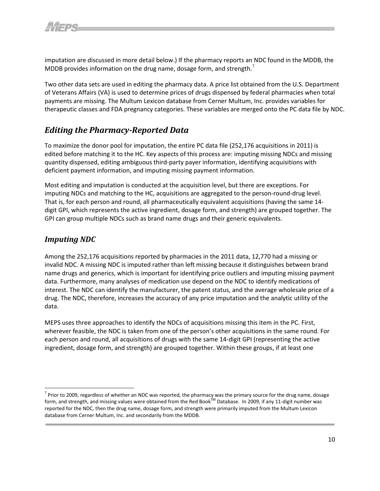imputation are discussed in more detail below.) If the pharmacy reports an NDC found in the MDDB, the MDDB provides information on the drug name, dosage form, and strength. $<sup>7</sup>$  $<sup>7</sup>$  $<sup>7</sup>$ </sup>

Two other data sets are used in editing the pharmacy data. A price list obtained from the U.S. Department of Veterans Affairs (VA) is used to determine prices of drugs dispensed by federal pharmacies when total payments are missing. The Multum Lexicon database from Cerner Multum, Inc. provides variables for therapeutic classes and FDA pregnancy categories. These variables are merged onto the PC data file by NDC.

# *Editing the Pharmacy-Reported Data*

<span id="page-12-0"></span>To maximize the donor pool for imputation, the entire PC data file (252,176 acquisitions in 2011) is edited before matching it to the HC. Key aspects of this process are: imputing missing NDCs and missing quantity dispensed, editing ambiguous third-party payer information, identifying acquisitions with deficient payment information, and imputing missing payment information.

Most editing and imputation is conducted at the acquisition level, but there are exceptions. For imputing NDCs and matching to the HC, acquisitions are aggregated to the person-round-drug level. That is, for each person and round, all pharmaceutically equivalent acquisitions (having the same 14 digit GPI, which represents the active ingredient, dosage form, and strength) are grouped together. The GPI can group multiple NDCs such as brand name drugs and their generic equivalents.

#### *Imputing NDC*

 $\overline{\phantom{a}}$ 

<span id="page-12-1"></span>Among the 252,176 acquisitions reported by pharmacies in the 2011 data, 12,770 had a missing or invalid NDC. A missing NDC is imputed rather than left missing because it distinguishes between brand name drugs and generics, which is important for identifying price outliers and imputing missing payment data. Furthermore, many analyses of medication use depend on the NDC to identify medications of interest. The NDC can identify the manufacturer, the patent status, and the average wholesale price of a drug. The NDC, therefore, increases the accuracy of any price imputation and the analytic utility of the data.

MEPS uses three approaches to identify the NDCs of acquisitions missing this item in the PC. First, wherever feasible, the NDC is taken from one of the person's other acquisitions in the same round. For each person and round, all acquisitions of drugs with the same 14-digit GPI (representing the active ingredient, dosage form, and strength) are grouped together. Within these groups, if at least one

 $7$  Prior to 2009, regardless of whether an NDC was reported, the pharmacy was the primary source for the drug name, dosage form, and strength, and missing values were obtained from the Red Book $^{TM}$  Database. In 2009, if any 11-digit number was reported for the NDC, then the drug name, dosage form, and strength were primarily imputed from the Multum Lexicon database from Cerner Multum, Inc. and secondarily from the MDDB.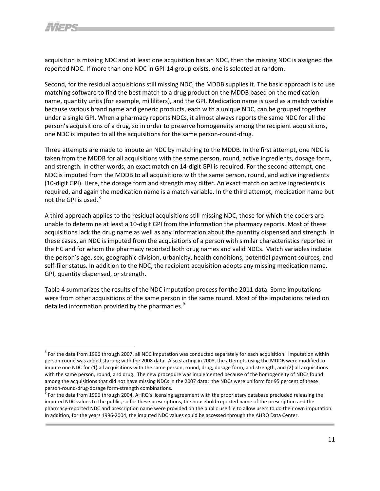acquisition is missing NDC and at least one acquisition has an NDC, then the missing NDC is assigned the reported NDC. If more than one NDC in GPI-14 group exists, one is selected at random.

Second, for the residual acquisitions still missing NDC, the MDDB supplies it. The basic approach is to use matching software to find the best match to a drug product on the MDDB based on the medication name, quantity units (for example, milliliters), and the GPI. Medication name is used as a match variable because various brand name and generic products, each with a unique NDC, can be grouped together under a single GPI. When a pharmacy reports NDCs, it almost always reports the same NDC for all the person's acquisitions of a drug, so in order to preserve homogeneity among the recipient acquisitions, one NDC is imputed to all the acquisitions for the same person-round-drug.

Three attempts are made to impute an NDC by matching to the MDDB. In the first attempt, one NDC is taken from the MDDB for all acquisitions with the same person, round, active ingredients, dosage form, and strength. In other words, an exact match on 14-digit GPI is required. For the second attempt, one NDC is imputed from the MDDB to all acquisitions with the same person, round, and active ingredients (10-digit GPI). Here, the dosage form and strength may differ. An exact match on active ingredients is required, and again the medication name is a match variable. In the third attempt, medication name but not the GPI is used. $8$ 

A third approach applies to the residual acquisitions still missing NDC, those for which the coders are unable to determine at least a 10-digit GPI from the information the pharmacy reports. Most of these acquisitions lack the drug name as well as any information about the quantity dispensed and strength. In these cases, an NDC is imputed from the acquisitions of a person with similar characteristics reported in the HC and for whom the pharmacy reported both drug names and valid NDCs. Match variables include the person's age, sex, geographic division, urbanicity, health conditions, potential payment sources, and self-filer status. In addition to the NDC, the recipient acquisition adopts any missing medication name, GPI, quantity dispensed, or strength.

<span id="page-13-0"></span>Table 4 summarizes the results of the NDC imputation process for the 2011 data. Some imputations were from other acquisitions of the same person in the same round. Most of the imputations relied on detailed information provided by the pharmacies. $^{9}$  $^{9}$  $^{9}$ 

 $8$  For the data from 1996 through 2007, all NDC imputation was conducted separately for each acquisition. Imputation within person-round was added starting with the 2008 data. Also starting in 2008, the attempts using the MDDB were modified to impute one NDC for (1) all acquisitions with the same person, round, drug, dosage form, and strength, and (2) all acquisitions with the same person, round, and drug. The new procedure was implemented because of the homogeneity of NDCs found among the acquisitions that did not have missing NDCs in the 2007 data: the NDCs were uniform for 95 percent of these person-round-drug-dosage form-strength combinations.<br><sup>9</sup> For the data from 1996 through 2004, AHRQ's licensing agreement with the proprietary database precluded releasing the

<span id="page-13-2"></span><span id="page-13-1"></span>imputed NDC values to the public, so for these prescriptions, the household-reported name of the prescription and the pharmacy-reported NDC and prescription name were provided on the public use file to allow users to do their own imputation. In addition, for the years 1996-2004, the imputed NDC values could be accessed through the AHRQ Data Center.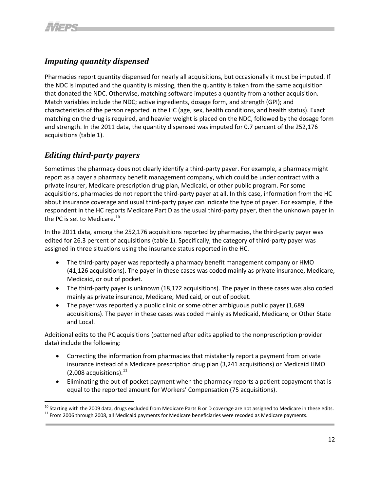# *Imputing quantity dispensed*

Pharmacies report quantity dispensed for nearly all acquisitions, but occasionally it must be imputed. If the NDC is imputed and the quantity is missing, then the quantity is taken from the same acquisition that donated the NDC. Otherwise, matching software imputes a quantity from another acquisition. Match variables include the NDC; active ingredients, dosage form, and strength (GPI); and characteristics of the person reported in the HC (age, sex, health conditions, and health status). Exact matching on the drug is required, and heavier weight is placed on the NDC, followed by the dosage form and strength. In the 2011 data, the quantity dispensed was imputed for 0.7 percent of the 252,176 acquisitions (table 1).

# <span id="page-14-0"></span>*Editing third-party payers*

Sometimes the pharmacy does not clearly identify a third-party payer. For example, a pharmacy might report as a payer a pharmacy benefit management company, which could be under contract with a private insurer, Medicare prescription drug plan, Medicaid, or other public program. For some acquisitions, pharmacies do not report the third-party payer at all. In this case, information from the HC about insurance coverag[e a](#page-16-0)nd usual third-party payer can indicate the type of payer. For example, if the respondent in the HC reports Medicare Part D as the usual third-party payer, then the unknown payer in the PC is set to Medicare.<sup>10</sup>

In the 2011 data, among the 252,176 acquisitions reported by pharmacies, the third-party payer was edited for 26.3 percent of acquisitions (table 1). Specifically, the category of third-party payer was assigned in three situations using the insurance status reported in the HC.

- The third-party payer was reportedly a pharmacy benefit management company or HMO (41,126 acquisitions). The payer in these cases was coded mainly as private insurance, Medicare, Medicaid, or out of pocket.
- The third-party payer is unknown (18,172 acquisitions). The payer in these cases was also coded mainly as private insurance, Medicare, Medicaid, or out of pocket.
- The payer was reportedly a public clinic or some other ambiguous public payer (1,689) acquisitions). The payer in these cases was coded mainly as Medicaid, Medicare, or Other State and Local.

Additional edits to the PC acquisitions (patterned after edits applied to the nonprescription provider data) include the following:

- Correcting the information from pharmacies that mistakenly report a payment from private insurance instead o[f a](#page-16-1) Medicare prescription drug plan (3,241 acquisitions) or Medicaid HMO  $(2,008$  acquisitions).<sup>11</sup>
- Eliminating the out-of-pocket payment when the pharmacy reports a patient copayment that is equal to the reported amount for Workers' Compensation (75 acquisitions).

<span id="page-14-1"></span><sup>&</sup>lt;sup>10</sup> Starting with the 2009 data, drugs excluded from Medicare Parts B or D coverage are not assigned to Medicare in these edits.<br><sup>11</sup> From 2006 through 2008, all Medicaid payments for Medicare beneficiaries were recoded a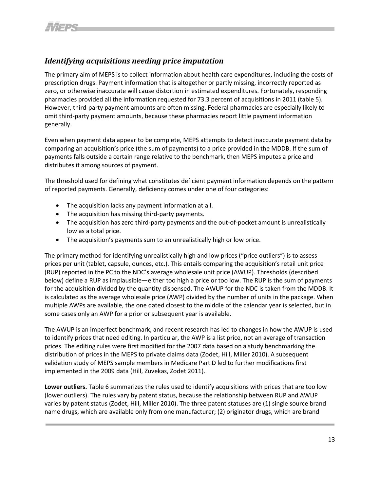# <span id="page-15-0"></span>*Identifying acquisitions needing price imputation*

The primary aim of MEPS is to collect information about health care expenditures, including the costs of prescription drugs. Payment information that is altogether or partly missing, incorrectly reported as zero, or otherwise inaccurate will cause distortion in estimated expenditures. Fortunately, responding pharmacies provided all the information requested for 73.3 percent of acquisitions in 2011 (table 5). However, third-party payment amounts are often missing. Federal pharmacies are especially likely to omit third-party payment amounts, because these pharmacies report little payment information generally.

Even when payment data appear to be complete, MEPS attempts to detect inaccurate payment data by comparing an acquisition's price (the sum of payments) to a price provided in the MDDB. If the sum of payments falls outside a certain range relative to the benchmark, then MEPS imputes a price and distributes it among sources of payment.

The threshold used for defining what constitutes deficient payment information depends on the pattern of reported payments. Generally, deficiency comes under one of four categories:

- The acquisition lacks any payment information at all.
- The acquisition has missing third-party payments.
- The acquisition has zero third-party payments and the out-of-pocket amount is unrealistically low as a total price.
- The acquisition's payments sum to an unrealistically high or low price.

The primary method for identifying unrealistically high and low prices ("price outliers") is to assess prices per unit (tablet, capsule, ounces, etc.). This entails comparing the acquisition's retail unit price (RUP) reported in the PC to the NDC's average wholesale unit price (AWUP). Thresholds (described below) define a RUP as implausible—either too high a price or too low. The RUP is the sum of payments for the acquisition divided by the quantity dispensed. The AWUP for the NDC is taken from the MDDB. It is calculated as the average wholesale price (AWP) divided by the number of units in the package. When multiple AWPs are available, the one dated closest to the middle of the calendar year is selected, but in some cases only an AWP for a prior or subsequent year is available.

<span id="page-15-1"></span>The AWUP is an imperfect benchmark, and recent research has led to changes in how the AWUP is used to identify prices that need editing. In particular, the AWP is a list price, not an average of transaction prices. The editing rules were first modified for the 2007 data based on a study benchmarking the distribution of prices in the MEPS to private claims data (Zodet, Hill, Miller 2010). A subsequent validation study of MEPS sample members in Medicare Part D led to further modifications first implemented in the 2009 data (Hill, Zuvekas, Zodet 2011).

<span id="page-15-2"></span>**Lower outliers.** Table 6 summarizes the rules used to identify acquisitions with prices that are too low (lower outliers). The rules vary by patent status, because the relationship between RUP and AWUP varies by patent status (Zodet, Hill, Miller 2010). The three patent statuses are (1) single source brand name drugs, which are available only from one manufacturer; (2) originator drugs, which are brand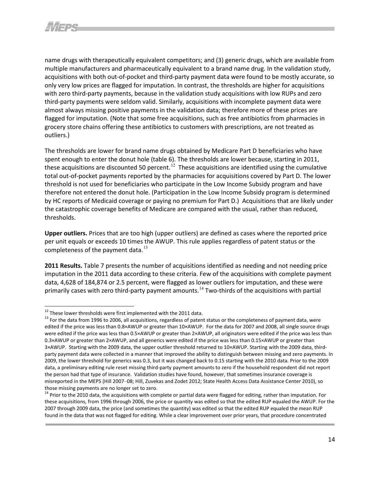name drugs with therapeutically equivalent competitors; and (3) generic drugs, which are available from multiple manufacturers and pharmaceutically equivalent to a brand name drug. In the validation study, acquisitions with both out-of-pocket and third-party payment data were found to be mostly accurate, so only very low prices are flagged for imputation. In contrast, the thresholds are higher for acquisitions with zero third-party payments, because in the validation study acquisitions with low RUPs and zero third-party payments were seldom valid. Similarly, acquisitions with incomplete payment data were almost always missing positive payments in the validation data; therefore more of these prices are flagged for imputation. (Note that some free acquisitions, such as free antibiotics from pharmacies in grocery store chains offering these antibiotics to customers with prescriptions, are not treated as outliers.)

The thresholds are lower for brand name drugs obtained by Medicare Part D beneficiaries who have spent enough to enter the donut hole (table 6). The thresholds are lower because, starting in 2011, these acquisitions are discounted 50 percent.<sup>[12](#page-18-0)</sup> These acquisitions are identified using the cumulative total out-of-pocket payments reported by the pharmacies for acquisitions covered by Part D. The lower threshold is not used for beneficiaries who participate in the Low Income Subsidy program and have therefore not entered the donut hole. (Participation in the Low Income Subsidy program is determined by HC reports of Medicaid coverage or paying no premium for Part D.) Acquisitions that are likely under the catastrophic coverage benefits of Medicare are compared with the usual, rather than reduced, thresholds.

**Upper outliers.** Prices that are too high (upper outliers) are defined as cases where the reported price per unit equals or exceeds 10 times the AWUP. This rule applies regardless of patent status or the completeness of the payment data.<sup>[13](#page-18-1)</sup>

**2011 Results.** Table 7 presents the number of acquisitions identified as needing and not needing price imputation in the 2011 data according to these criteria. Few of the acquisitions with complete payment data, 4,628 of 184,874 or 2.5 percent, were flagged as lower outliers for imputation, and these were primarily cases with zero third-party payment amounts.<sup>[14](#page-19-3)</sup> Two-thirds of the acquisitions with partial

<sup>&</sup>lt;sup>12</sup> These lower thresholds were first implemented with the 2011 data.<br><sup>13</sup> For the data from 1996 to 2006, all acquisitions, regardless of patent status or the completeness of payment data, were edited if the price was less than 0.8×AWUP or greater than 10×AWUP. For the data for 2007 and 2008, all single source drugs were edited if the price was less than 0.5×AWUP or greater than 2×AWUP, all originators were edited if the price was less than 0.3×AWUP or greater than 2×AWUP, and all generics were edited if the price was less than 0.15×AWUP or greater than 3×AWUP. Starting with the 2009 data, the upper outlier threshold returned to 10×AWUP. Starting with the 2009 data, thirdparty payment data were collected in a manner that improved the ability to distinguish between missing and zero payments. In 2009, the lower threshold for generics was 0.3, but it was changed back to 0.15 starting with the 2010 data. Prior to the 2009 data, a preliminary editing rule reset missing third-party payment amounts to zero if the household respondent did not report the person had that type of insurance. Validation studies have found, however, that sometimes insurance coverage is misreported in the MEPS (Hill 2007–08; Hill, Zuvekas and Zodet 2012; State Health Access Data Assistance Center 2010), so those missing payments are no longer set to zero.

<span id="page-16-1"></span><span id="page-16-0"></span><sup>&</sup>lt;sup>14</sup> Prior to the 2010 data, the acquisitions with complete or partial data were flagged for editing, rather than imputation. For these acquisitions, from 1996 through 2006, the price or quantity was edited so that the edited RUP equaled the AWUP. For the 2007 through 2009 data, the price (and sometimes the quantity) was edited so that the edited RUP equaled the mean RUP found in the data that was not flagged for editing. While a clear improvement over prior years, that procedure concentrated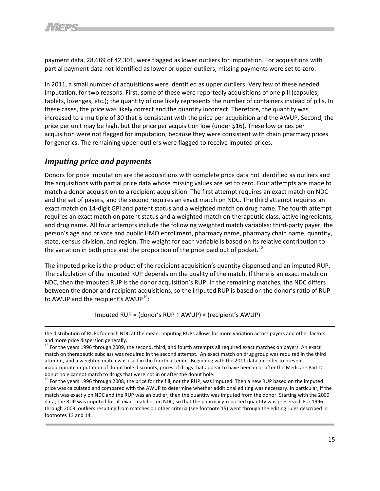

payment data, 28,689 of 42,301, were flagged as lower outliers for imputation. For acquisitions with partial payment data not identified as lower or upper outliers, missing payments were set to zero.

In 2011, a small number of acquisitions were identified as upper outliers. Very few of these needed imputation, for two reasons: First, some of these were reportedly acquisitions of one pill (capsules, tablets, lozenges, etc.); the quantity of one likely represents the number of containers instead of pills. In these cases, the price was likely correct and the quantity incorrect. Therefore, the quantity was increased to a multiple of 30 that is consistent with the price per acquisition and the AWUP. Second, the price per unit may be high, but the price per acquisition low (under \$16). These low prices per acquisition were not flagged for imputation, because they were consistent with chain pharmacy prices for generics. The remaining upper outliers were flagged to receive imputed prices.

#### <span id="page-17-0"></span>*Imputing price and payments*

Donors for price imputation are the acquisitions with complete price data not identified as outliers and the acquisitions with partial price data whose missing values are set to zero. Four attempts are made to match a donor acquisition to a recipient acquisition. The first attempt requires an exact match on NDC and the set of payers, and the second requires an exact match on NDC. The third attempt requires an exact match on 14-digit GPI and patent status and a weighted match on drug name. The fourth attempt requires an exact match on patent status and a weighted match on therapeutic class, active ingredients, and drug name. All four attempts include the following weighted match variables: third-party payer, the person's age and private and public HMO enrollment, pharmacy name, pharmacy chain name, quantity, state, census division, and region. The weight for each variable is based on its relative contribution to the variation in both price and the proportion of the price paid out of pocket.<sup>[15](#page-19-4)</sup>

The imputed price is the product of the recipient acquisition's quantity dispensed and an imputed RUP. The calculation of the imputed RUP depends on the quality of the match. If there is an exact match on NDC, then the imputed RUP is the donor acquisition's RUP. In the remaining matches, the NDC differs between the donor and recipient acquisitions, so the imputed RUP is based on the donor's ratio of RUP to AWUP and the recipient's AWUP<sup>[16](#page-19-5)</sup>:

Imputed RUP = (donor's RUP  $\div$  AWUP)  $\times$  (recipient's AWUP)

the distribution of RUPs for each NDC at the mean. Imputing RUPs allows for more variation across payers and other factors and more price dispersion generally.

<sup>&</sup>lt;sup>15</sup> For the years 1996 through 2009, the second, third, and fourth attempts all required exact matches on payers. An exact match on therapeutic subclass was required in the second attempt. An exact match on drug group was required in the third attempt, and a weighted match was used in the fourth attempt. Beginning with the 2011 data, in order to prevent inappropriate imputation of donut hole discounts, prices of drugs that appear to have been in or after the Medicare Part D donut hole cannot match to drugs that were not in or after the donut hole.

<sup>&</sup>lt;sup>16</sup> For the years 1996 through 2008, the price for the fill, not the RUP, was imputed. Then a new RUP based on the imputed price was calculated and compared with the AWUP to determine whether additional editing was necessary. In particular, if the match was exactly on NDC and the RUP was an outlier, then the quantity was imputed from the donor. Starting with the 2009 data, the RUP was imputed for all exact matches on NDC, so that the pharmacy-reported quantity was preserved. For 1996 through 2009, outliers resulting from matches on other criteria (see footnote 15) went through the editing rules described in footnotes 13 and 14.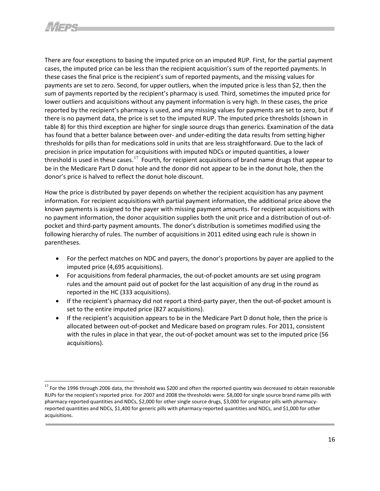There are four exceptions to basing the imputed price on an imputed RUP. First, for the partial payment cases, the imputed price can be less than the recipient acquisition's sum of the reported payments. In these cases the final price is the recipient's sum of reported payments, and the missing values for payments are set to zero. Second, for upper outliers, when the imputed price is less than \$2, then the sum of payments reported by the recipient's pharmacy is used. Third, sometimes the imputed price for lower outliers and acquisitions without any payment information is very high. In these cases, the price reported by the recipient's pharmacy is used, and any missing values for payments are set to zero, but if there is no payment data, the price is set to the imputed RUP. The imputed price thresholds (shown in table 8) for this third exception are higher for single source drugs than generics. Examination of the data has found that a better balance between over- and under-editing the data results from setting higher thresholds for pills than for medications sold in units that are less straightforward. Due to the lack of precision in price imputation for acquisitions with imputed NDCs or imputed quantities, a lower threshold is used in these cases.<sup>[17](#page-20-1)</sup> Fourth, for recipient acquisitions of brand name drugs that appear to be in the Medicare Part D donut hole and the donor did not appear to be in the donut hole, then the donor's price is halved to reflect the donut hole discount.

How the price is distributed by payer depends on whether the recipient acquisition has any payment information. For recipient acquisitions with partial payment information, the additional price above the known payments is assigned to the payer with missing payment amounts. For recipient acquisitions with no payment information, the donor acquisition supplies both the unit price and a distribution of out-ofpocket and third-party payment amounts. The donor's distribution is sometimes modified using the following hierarchy of rules. The number of acquisitions in 2011 edited using each rule is shown in parentheses.

- For the perfect matches on NDC and payers, the donor's proportions by payer are applied to the imputed price (4,695 acquisitions).
- For acquisitions from federal pharmacies, the out-of-pocket amounts are set using program rules and the amount paid out of pocket for the last acquisition of any drug in the round as reported in the HC (333 acquisitions).
- If the recipient's pharmacy did not report a third-party payer, then the out-of-pocket amount is set to the entire imputed price (827 acquisitions).
- <span id="page-18-0"></span>• If the recipient's acquisition appears to be in the Medicare Part D donut hole, then the price is allocated between out-of-pocket and Medicare based on program rules. For 2011, consistent with the rules in place in that year, the out-of-pocket amount was set to the imputed price (56 acquisitions).

<span id="page-18-1"></span><sup>&</sup>lt;sup>17</sup> For the 1996 through 2006 data, the threshold was \$200 and often the reported quantity was decreased to obtain reasonable RUPs for the recipient's reported price. For 2007 and 2008 the thresholds were: \$8,000 for single source brand name pills with pharmacy-reported quantities and NDCs, \$2,000 for other single source drugs, \$3,000 for originator pills with pharmacyreported quantities and NDCs, \$1,400 for generic pills with pharmacy-reported quantities and NDCs, and \$1,000 for other acquisitions.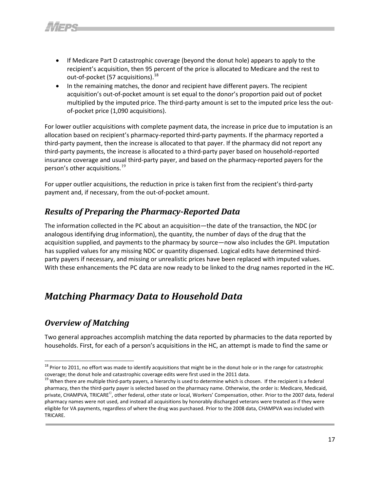- If Medicare Part D catastrophic coverage (beyond the donut hole) appears to apply to the recipient's acquisition, then 95 percent of the price is allocated to Medicare and the rest to out-of-pocket (57 acquisitions).<sup>[18](#page-21-0)</sup>
- In the remaining matches, the donor and recipient have different payers. The recipient acquisition's out-of-pocket amount is set equal to the donor's proportion paid out of pocket multiplied by the imputed price. The third-party amount is set to the imputed price less the outof-pocket price (1,090 acquisitions).

For lower outlier acquisitions with complete payment data, the increase in price due to imputation is an allocation based on recipient's pharmacy-reported third-party payments. If the pharmacy reported a third-party payment, then the increase is allocated to that payer. If the pharmacy did not report any third-party payments, the increase is allocated to a third-party payer based on household-reported insurance coverage and usual third-party payer, and based on the pharmacy-reported payers for the person's other acquisitions.<sup>[19](#page-21-1)</sup>

For upper outlier acquisitions, the reduction in price is taken first from the recipient's third-party payment and, if necessary, from the out-of-pocket amount.

# <span id="page-19-0"></span>*Results of Preparing the Pharmacy-Reported Data*

The information collected in the PC about an acquisition—the date of the transaction, the NDC (or analogous identifying drug information), the quantity, the number of days of the drug that the acquisition supplied, and payments to the pharmacy by source—now also includes the GPI. Imputation has supplied values for any missing NDC or quantity dispensed. Logical edits have determined thirdparty payers if necessary, and missing or unrealistic prices have been replaced with imputed values. With these enhancements the PC data are now ready to be linked to the drug names reported in the HC.

# <span id="page-19-1"></span>*Matching Pharmacy Data to Household Data*

# <span id="page-19-2"></span>*Overview of Matching*

 $\overline{\phantom{a}}$ 

<span id="page-19-3"></span>Two general approaches accomplish matching the data reported by pharmacies to the data reported by households. First, for each of a person's acquisitions in the HC, an attempt is made to find the same or

<span id="page-19-4"></span><sup>&</sup>lt;sup>18</sup> Prior to 2011, no effort was made to identify acquisitions that might be in the donut hole or in the range for catastrophic coverage; the donut hole and catastrophic coverage edits were first used in the 2011 data.<br><sup>19</sup> When there are multiple third-party payers, a hierarchy is used to determine which is chosen. If the recipient is a federal

<span id="page-19-5"></span>pharmacy, then the third-party payer is selected based on the pharmacy name. Otherwise, the order is: Medicare, Medicaid, private, CHAMPVA, TRICARE<sup>©</sup>, other federal, other state or local, Workers' Compensation, other. Prior to the 2007 data, federal pharmacy names were not used, and instead all acquisitions by honorably discharged veterans were treated as if they were eligible for VA payments, regardless of where the drug was purchased. Prior to the 2008 data, CHAMPVA was included with TRICARE.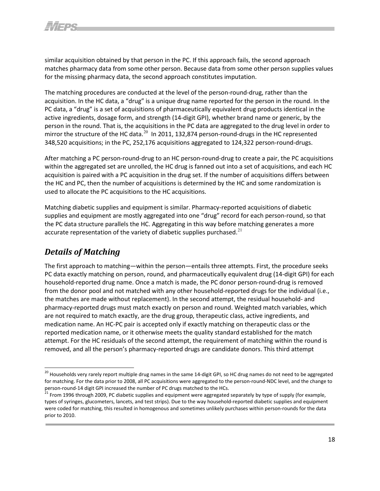similar acquisition obtained by that person in the PC. If this approach fails, the second approach matches pharmacy data from some other person. Because data from some other person supplies values for the missing pharmacy data, the second approach constitutes imputation.

The matching procedures are conducted at the level of the person-round-drug, rather than the acquisition. In the HC data, a "drug" is a unique drug name reported for the person in the round. In the PC data, a "drug" is a set of acquisitions of pharmaceutically equivalent drug products identical in the active ingredients, dosage form, and strength (14-digit GPI), whether brand name or generic, by the person in the round. That is, the acquisitions in the PC data are aggregated to the drug level in order to mirror the structure of the HC data. $^{20}$  $^{20}$  $^{20}$  In 2011, 132,874 person-round-drugs in the HC represented 348,520 acquisitions; in the PC, 252,176 acquisitions aggregated to 124,322 person-round-drugs.

After matching a PC person-round-drug to an HC person-round-drug to create a pair, the PC acquisitions within the aggregated set are unrolled, the HC drug is fanned out into a set of acquisitions, and each HC acquisition is paired with a PC acquisition in the drug set. If the number of acquisitions differs between the HC and PC, then the number of acquisitions is determined by the HC and some randomization is used to allocate the PC acquisitions to the HC acquisitions.

Matching diabetic supplies and equipment is similar. Pharmacy-reported acquisitions of diabetic supplies and equipment are mostly aggregated into one "drug" record for each person-round, so that the PC data structure parallels the HC. Aggregating in this way before matching generates a more accurate representation of the variety of diabetic supplies purchased. $^{21}$  $^{21}$  $^{21}$ 

# <span id="page-20-0"></span>*Details of Matching*

 $\overline{\phantom{a}}$ 

The first approach to matching—within the person—entails three attempts. First, the procedure seeks PC data exactly matching on person, round, and pharmaceutically equivalent drug (14-digit GPI) for each household-reported drug name. Once a match is made, the PC donor person-round-drug is removed from the donor pool and not matched with any other household-reported drugs for the individual (i.e., the matches are made without replacement). In the second attempt, the residual household- and pharmacy-reported drugs must match exactly on person and round. Weighted match variables, which are not required to match exactly, are the drug group, therapeutic class, active ingredients, and medication name. An HC-PC pair is accepted only if exactly matching on therapeutic class or the reported medication name, or it otherwise meets the quality standard established for the match attempt. For the HC residuals of the second attempt, the requirement of matching within the round is removed, and all the person's pharmacy-reported drugs are candidate donors. This third attempt

<sup>&</sup>lt;sup>20</sup> Households very rarely report multiple drug names in the same 14-digit GPI, so HC drug names do not need to be aggregated for matching. For the data prior to 2008, all PC acquisitions were aggregated to the person-round-NDC level, and the change to person-round-14 digit GPI increased the number of PC drugs matched to the HCs.<br><sup>21</sup> From 1996 through 2009, PC diabetic supplies and equipment were aggregated separately by type of supply (for example,

<span id="page-20-1"></span>types of syringes, glucometers, lancets, and test strips). Due to the way household-reported diabetic supplies and equipment were coded for matching, this resulted in homogenous and sometimes unlikely purchases within person-rounds for the data prior to 2010.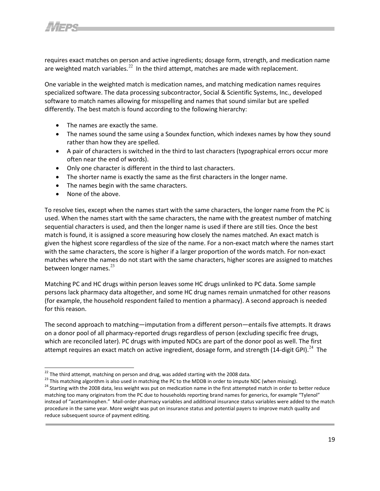

requires exact matches on person and active ingredients; dosage form, strength, and medication name are weighted match variables.<sup>[22](#page-23-3)</sup> In the third attempt, matches are made with replacement.

One variable in the weighted match is medication names, and matching medication names requires specialized software. The data processing subcontractor, Social & Scientific Systems, Inc., developed software to match names allowing for misspelling and names that sound similar but are spelled differently. The best match is found according to the following hierarchy:

- The names are exactly the same.
- The names sound the same using a Soundex function, which indexes names by how they sound rather than how they are spelled.
- A pair of characters is switched in the third to last characters (typographical errors occur more often near the end of words).
- Only one character is different in the third to last characters.
- The shorter name is exactly the same as the first characters in the longer name.
- The names begin with the same characters.
- None of the above.

 $\overline{\phantom{a}}$ 

To resolve ties, except when the names start with the same characters, the longer name from the PC is used. When the names start with the same characters, the name with the greatest number of matching sequential characters is used, and then the longer name is used if there are still ties. Once the best match is found, it is assigned a score measuring how closely the names matched. An exact match is given the highest score regardless of the size of the name. For a non-exact match where the names start with the same characters, the score is higher if a larger proportion of the words match. For non-exact matches where the names do not start with the same characters, higher scores are assigned to matches between longer names.<sup>[23](#page-23-4)</sup>

Matching PC and HC drugs within person leaves some HC drugs unlinked to PC data. Some sample persons lack pharmacy data altogether, and some HC drug names remain unmatched for other reasons (for example, the household respondent failed to mention a pharmacy). A second approach is needed for this reason.

The second approach to matching—imputation from a different person—entails five attempts. It draws on a donor pool of all pharmacy-reported drugs regardless of person (excluding specific free drugs, which are reconciled later). PC drugs with imputed NDCs are part of the donor pool as well. The first attempt requires an exact match on active ingredient, dosage form, and strength (14-digit GPI).<sup>[24](#page-24-1)</sup> The

<span id="page-21-1"></span><span id="page-21-0"></span><sup>&</sup>lt;sup>22</sup> The third attempt, matching on person and drug, was added starting with the 2008 data.<br><sup>23</sup> This matching algorithm is also used in matching the PC to the MDDB in order to impute NDC (when missing).<br><sup>24</sup> Starting wit matching too many originators from the PC due to households reporting brand names for generics, for example "Tylenol" instead of "acetaminophen." Mail-order pharmacy variables and additional insurance status variables were added to the match procedure in the same year. More weight was put on insurance status and potential payers to improve match quality and reduce subsequent source of payment editing.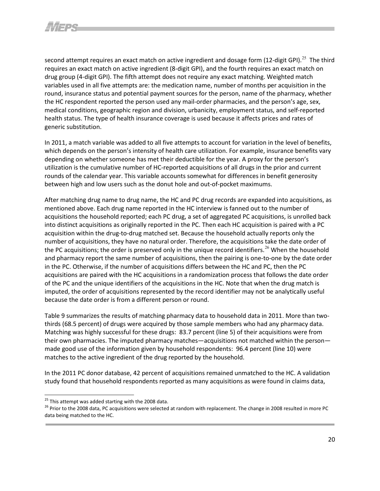second attempt requires an exact match on active ingredient and dosage form (12-digit GPI).<sup>[25](#page-24-2)</sup> The third requires an exact match on active ingredient (8-digit GPI), and the fourth requires an exact match on drug group (4-digit GPI). The fifth attempt does not require any exact matching. Weighted match variables used in all five attempts are: the medication name, number of months per acquisition in the round, insurance status and potential payment sources for the person, name of the pharmacy, whether the HC respondent reported the person used any mail-order pharmacies, and the person's age, sex, medical conditions, geographic region and division, urbanicity, employment status, and self-reported health status. The type of health insurance coverage is used because it affects prices and rates of generic substitution.

In 2011, a match variable was added to all five attempts to account for variation in the level of benefits, which depends on the person's intensity of health care utilization. For example, insurance benefits vary depending on whether someone has met their deductible for the year. A proxy for the person's utilization is the cumulative number of HC-reported acquisitions of all drugs in the prior and current rounds of the calendar year. This variable accounts somewhat for differences in benefit generosity between high and low users such as the donut hole and out-of-pocket maximums.

After matching drug name to drug name, the HC and PC drug records are expanded into acquisitions, as mentioned above. Each drug name reported in the HC interview is fanned out to the number of acquisitions the household reported; each PC drug, a set of aggregated PC acquisitions, is unrolled back into distinct acquisitions as originally reported in the PC. Then each HC acquisition is paired with a PC acquisition within the drug-to-drug matched set. Because the household actually reports only the number of acquisitions, they have no natural order. Therefore, the acquisitions take the date order of the PC acquisitions; the order is preserved only in the unique record identifiers.<sup>[26](#page-24-3)</sup> When the household and pharmacy report the same number of acquisitions, then the pairing is one-to-one by the date order in the PC. Otherwise, if the number of acquisitions differs between the HC and PC, then the PC acquisitions are paired with the HC acquisitions in a randomization process that follows the date order of the PC and the unique identifiers of the acquisitions in the HC. Note that when the drug match is imputed, the order of acquisitions represented by the record identifier may not be analytically useful because the date order is from a different person or round.

Table 9 summarizes the results of matching pharmacy data to household data in 2011. More than twothirds (68.5 percent) of drugs were acquired by those sample members who had any pharmacy data. Matching was highly successful for these drugs: 83.7 percent (line 5) of their acquisitions were from their own pharmacies. The imputed pharmacy matches—acquisitions not matched within the person made good use of the information given by household respondents: 96.4 percent (line 10) were matches to the active ingredient of the drug reported by the household.

<span id="page-22-0"></span>In the 2011 PC donor database, 42 percent of acquisitions remained unmatched to the HC. A validation study found that household respondents reported as many acquisitions as were found in claims data,

l

<span id="page-22-1"></span><sup>&</sup>lt;sup>25</sup> This attempt was added starting with the 2008 data.<br><sup>26</sup> Prior to the 2008 data, PC acquisitions were selected at random with replacement. The change in 2008 resulted in more PC data being matched to the HC.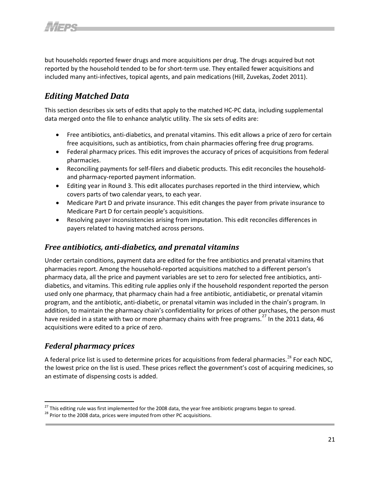but households reported fewer drugs and more acquisitions per drug. The drugs acquired but not reported by the household tended to be for short-term use. They entailed fewer acquisitions and included many anti-infectives, topical agents, and pain medications (Hill, Zuvekas, Zodet 2011).

# <span id="page-23-0"></span>*Editing Matched Data*

This section describes six sets of edits that apply to the matched HC-PC data, including supplemental data merged onto the file to enhance analytic utility. The six sets of edits are:

- Free antibiotics, anti-diabetics, and prenatal vitamins. This edit allows a price of zero for certain free acquisitions, such as antibiotics, from chain pharmacies offering free drug programs.
- Federal pharmacy prices. This edit improves the accuracy of prices of acquisitions from federal pharmacies.
- Reconciling payments for self-filers and diabetic products. This edit reconciles the householdand pharmacy-reported payment information.
- Editing year in Round 3. This edit allocates purchases reported in the third interview, which covers parts of two calendar years, to each year.
- Medicare Part D and private insurance. This edit changes the payer from private insurance to Medicare Part D for certain people's acquisitions.
- Resolving payer inconsistencies arising from imputation. This edit reconciles differences in payers related to having matched across persons.

#### <span id="page-23-1"></span>*Free antibiotics, anti-diabetics, and prenatal vitamins*

Under certain conditions, payment data are edited for the free antibiotics and prenatal vitamins that pharmacies report. Among the household-reported acquisitions matched to a different person's pharmacy data, all the price and payment variables are set to zero for selected free antibiotics, antidiabetics, and vitamins. This editing rule applies only if the household respondent reported the person used only one pharmacy, that pharmacy chain had a free antibiotic, antidiabetic, or prenatal vitamin program, and the antibiotic, anti-diabetic, or prenatal vitamin was included in the chain's program. In addition, to maintain the pharmacy chain's confidentiality for prices of other purchases, the person must have resided in a state with two or more pharmacy chains with free programs.<sup>[27](#page-25-1)</sup> In the 2011 data, 46 acquisitions were edited to a price of zero.

#### <span id="page-23-2"></span>*Federal pharmacy prices*

l

A federal price list is used to determine prices for acquisitions from federal pharmacies.<sup>[28](#page-26-2)</sup> For each NDC, the lowest price on the list is used. These prices reflect the government's cost of acquiring medicines, so an estimate of dispensing costs is added.

<span id="page-23-4"></span><span id="page-23-3"></span><sup>&</sup>lt;sup>27</sup> This editing rule was first implemented for the 2008 data, the year free antibiotic programs began to spread.<br><sup>28</sup> Prior to the 2008 data, prices were imputed from other PC acquisitions.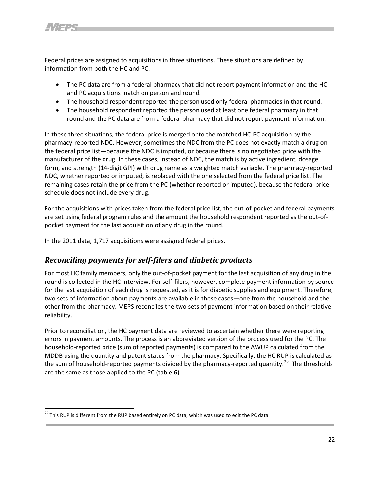Federal prices are assigned to acquisitions in three situations. These situations are defined by information from both the HC and PC.

- The PC data are from a federal pharmacy that did not report payment information and the HC and PC acquisitions match on person and round.
- The household respondent reported the person used only federal pharmacies in that round.
- The household respondent reported the person used at least one federal pharmacy in that round and the PC data are from a federal pharmacy that did not report payment information.

In these three situations, the federal price is merged onto the matched HC-PC acquisition by the pharmacy-reported NDC. However, sometimes the NDC from the PC does not exactly match a drug on the federal price list—because the NDC is imputed, or because there is no negotiated price with the manufacturer of the drug. In these cases, instead of NDC, the match is by active ingredient, dosage form, and strength (14-digit GPI) with drug name as a weighted match variable. The pharmacy-reported NDC, whether reported or imputed, is replaced with the one selected from the federal price list. The remaining cases retain the price from the PC (whether reported or imputed), because the federal price schedule does not include every drug.

For the acquisitions with prices taken from the federal price list, the out-of-pocket and federal payments are set using federal program rules and the amount the household respondent reported as the out-ofpocket payment for the last acquisition of any drug in the round.

In the 2011 data, 1,717 acquisitions were assigned federal prices.

#### <span id="page-24-0"></span>*Reconciling payments for self-filers and diabetic products*

For most HC family members, only the out-of-pocket payment for the last acquisition of any drug in the round is collected in the HC interview. For self-filers, however, complete payment information by source for the last acquisition of each drug is requested, as it is for diabetic supplies and equipment. Therefore, two sets of information about payments are available in these cases—one from the household and the other from the pharmacy. MEPS reconciles the two sets of payment information based on their relative reliability.

<span id="page-24-1"></span>Prior to reconciliation, the HC payment data are reviewed to ascertain whether there were reporting errors in payment amounts. The process is an abbreviated version of the process used for the PC. The household-reported price (sum of reported payments) is compared to the AWUP calculated from the MDDB using the quantity and patent status from the pharmacy. Specifically, the HC RUP is calculated as the sum of household-reported payments divided by the pharmacy-reported quantity.<sup>[29](#page-27-0)</sup> The thresholds are the same as those applied to the PC (table 6).

<span id="page-24-3"></span><span id="page-24-2"></span> $^{29}$  This RUP is different from the RUP based entirely on PC data, which was used to edit the PC data.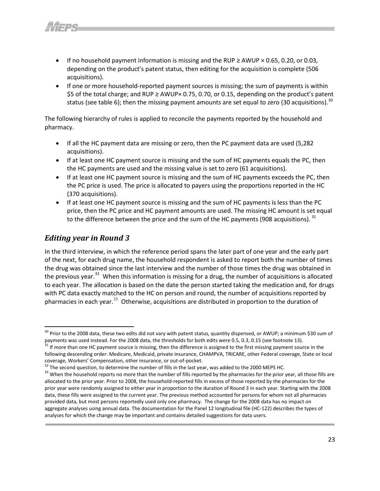- If no household payment information is missing and the RUP ≥ AWUP  $\times$  0.65, 0.20, or 0.03, depending on the product's patent status, then editing for the acquisition is complete (506 acquisitions).
- If one or more household-reported payment sources is missing; the sum of payments is within \$5 of the total charge; and RUP ≥ AWUP× 0.75, 0.70, or 0.15, depending on the product's patent status (see table 6); then the missing payment amounts are set equal to zero ([30](#page-27-1) acquisitions).<sup>30</sup>

The following hierarchy of rules is applied to reconcile the payments reported by the household and pharmacy.

- If all the HC payment data are missing or zero, then the PC payment data are used (5,282 acquisitions).
- If at least one HC payment source is missing and the sum of HC payments equals the PC, then the HC payments are used and the missing value is set to zero (61 acquisitions).
- If at least one HC payment source is missing and the sum of HC payments exceeds the PC, then the PC price is used. The price is allocated to payers using the proportions reported in the HC (370 acquisitions).
- If at least one HC payment source is missing and the sum of HC payments is less than the PC price, then the PC price and HC payment amounts are used. The missing HC amount is set equal to the difference between the price and the sum of the HC payments (908 acquisitions).  $31$

#### <span id="page-25-0"></span>*Editing year in Round 3*

 $\overline{\phantom{a}}$ 

In the third interview, in which the reference period spans the later part of one year and the early part of the next, for each drug name, the household respondent is asked to report both the number of times the drug was obtained since the last interview and the number of those times the drug was obtained in theprevious year.<sup>32</sup> When this information is missing for a drug, the number of acquisitions is allocated to each year. The allocation is based on the date the person started taking the medication and, for drugs with PC data exactly matched to the HC on person and round, the number of acquisitions reported by pharmacies in each year. $33$  Otherwise, acquisitions are distributed in proportion to the duration of

 $^{30}$  Prior to the 2008 data, these two edits did not vary with patent status, quantity dispensed, or AWUP; a minimum \$30 sum of payments was used instead. For the 2008 data, the thresholds for both edits were 0.5, 0.3, 0.15 (see footnote 13).<br><sup>31</sup> If more than one HC payment source is missing, then the difference is assigned to the first missing pa following descending order: Medicare, Medicaid, private insurance, CHAMPVA, TRICARE, other Federal coverage, State or local

<span id="page-25-1"></span>

coverage, Workers' Compensation, other insurance, or out-of-pocket.<br><sup>32</sup> The second question, to determine the number of fills in the last year, was added to the 2000 MEPS HC.<br><sup>33</sup> When the household reports no more than t allocated to the prior year. Prior to 2008, the household-reported fills in excess of those reported by the pharmacies for the prior year were randomly assigned to either year in proportion to the duration of Round 3 in each year. Starting with the 2008 data, these fills were assigned to the current year. The previous method accounted for persons for whom not all pharmacies provided data, but most persons reportedly used only one pharmacy. The change for the 2008 data has no impact on aggregate analyses using annual data. The documentation for the Panel 12 longitudinal file (HC-122) describes the types of analyses for which the change may be important and contains detailed suggestions for data users.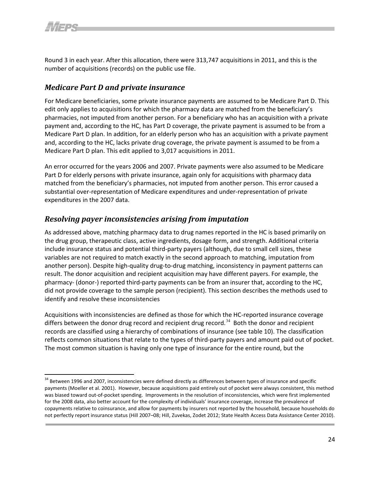Round 3 in each year. After this allocation, there were 313,747 acquisitions in 2011, and this is the number of acquisitions (records) on the public use file.

#### <span id="page-26-0"></span>*Medicare Part D and private insurance*

For Medicare beneficiaries, some private insurance payments are assumed to be Medicare Part D. This edit only applies to acquisitions for which the pharmacy data are matched from the beneficiary's pharmacies, not imputed from another person. For a beneficiary who has an acquisition with a private payment and, according to the HC, has Part D coverage, the private payment is assumed to be from a Medicare Part D plan. In addition, for an elderly person who has an acquisition with a private payment and, according to the HC, lacks private drug coverage, the private payment is assumed to be from a Medicare Part D plan. This edit applied to 3,017 acquisitions in 2011.

An error occurred for the years 2006 and 2007. Private payments were also assumed to be Medicare Part D for elderly persons with private insurance, again only for acquisitions with pharmacy data matched from the beneficiary's pharmacies, not imputed from another person. This error caused a substantial over-representation of Medicare expenditures and under-representation of private expenditures in the 2007 data.

#### <span id="page-26-1"></span>*Resolving payer inconsistencies arising from imputation*

As addressed above, matching pharmacy data to drug names reported in the HC is based primarily on the drug group, therapeutic class, active ingredients, dosage form, and strength. Additional criteria include insurance status and potential third-party payers (although, due to small cell sizes, these variables are not required to match exactly in the second approach to matching, imputation from another person). Despite high-quality drug-to-drug matching, inconsistency in payment patterns can result. The donor acquisition and recipient acquisition may have different payers. For example, the pharmacy- (donor-) reported third-party payments can be from an insurer that, according to the HC, did not provide coverage to the sample person (recipient). This section describes the methods used to identify and resolve these inconsistencies

Acquisitions with inconsistencies are defined as those for which the HC-reported insurance coverage differs between the donor drug record and recipient drug record.<sup>[34](#page-28-3)</sup> Both the donor and recipient records are classified using a hierarchy of combinations of insurance (see table 10). The classification reflects common situations that relate to the types of third-party payers and amount paid out of pocket. The most common situation is having only one type of insurance for the entire round, but the

<span id="page-26-2"></span><sup>&</sup>lt;sup>34</sup> Between 1996 and 2007, inconsistencies were defined directly as differences between types of insurance and specific payments (Moeller et al. 2001). However, because acquisitions paid entirely out of pocket were always consistent, this method was biased toward out-of-pocket spending. Improvements in the resolution of inconsistencies, which were first implemented for the 2008 data, also better account for the complexity of individuals' insurance coverage, increase the prevalence of copayments relative to coinsurance, and allow for payments by insurers not reported by the household, because households do not perfectly report insurance status (Hill 2007–08; Hill, Zuvekas, Zodet 2012; State Health Access Data Assistance Center 2010).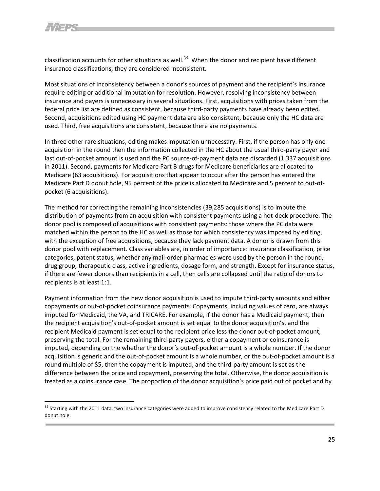classification accounts for other situations as well.<sup>[35](#page-29-1)</sup> When the donor and recipient have different insurance classifications, they are considered inconsistent.

Most situations of inconsistency between a donor's sources of payment and the recipient's insurance require editing or additional imputation for resolution. However, resolving inconsistency between insurance and payers is unnecessary in several situations. First, acquisitions with prices taken from the federal price list are defined as consistent, because third-party payments have already been edited. Second, acquisitions edited using HC payment data are also consistent, because only the HC data are used. Third, free acquisitions are consistent, because there are no payments.

In three other rare situations, editing makes imputation unnecessary. First, if the person has only one acquisition in the round then the information collected in the HC about the usual third-party payer and last out-of-pocket amount is used and the PC source-of-payment data are discarded (1,337 acquisitions in 2011). Second, payments for Medicare Part B drugs for Medicare beneficiaries are allocated to Medicare (63 acquisitions). For acquisitions that appear to occur after the person has entered the Medicare Part D donut hole, 95 percent of the price is allocated to Medicare and 5 percent to out-ofpocket (6 acquisitions).

The method for correcting the remaining inconsistencies (39,285 acquisitions) is to impute the distribution of payments from an acquisition with consistent payments using a hot-deck procedure. The donor pool is composed of acquisitions with consistent payments: those where the PC data were matched within the person to the HC as well as those for which consistency was imposed by editing, with the exception of free acquisitions, because they lack payment data. A donor is drawn from this donor pool with replacement. Class variables are, in order of importance: insurance classification, price categories, patent status, whether any mail-order pharmacies were used by the person in the round, drug group, therapeutic class, active ingredients, dosage form, and strength. Except for insurance status, if there are fewer donors than recipients in a cell, then cells are collapsed until the ratio of donors to recipients is at least 1:1.

Payment information from the new donor acquisition is used to impute third-party amounts and either copayments or out-of-pocket coinsurance payments. Copayments, including values of zero, are always imputed for Medicaid, the VA, and TRICARE. For example, if the donor has a Medicaid payment, then the recipient acquisition's out-of-pocket amount is set equal to the donor acquisition's, and the recipient Medicaid payment is set equal to the recipient price less the donor out-of-pocket amount, preserving the total. For the remaining third-party payers, either a copayment or coinsurance is imputed, depending on the whether the donor's out-of-pocket amount is a whole number. If the donor acquisition is generic and the out-of-pocket amount is a whole number, or the out-of-pocket amount is a round multiple of \$5, then the copayment is imputed, and the third-party amount is set as the difference between the price and copayment, preserving the total. Otherwise, the donor acquisition is treated as a coinsurance case. The proportion of the donor acquisition's price paid out of pocket and by

<span id="page-27-3"></span><span id="page-27-2"></span><span id="page-27-1"></span><span id="page-27-0"></span><sup>&</sup>lt;sup>35</sup> Starting with the 2011 data, two insurance categories were added to improve consistency related to the Medicare Part D donut hole.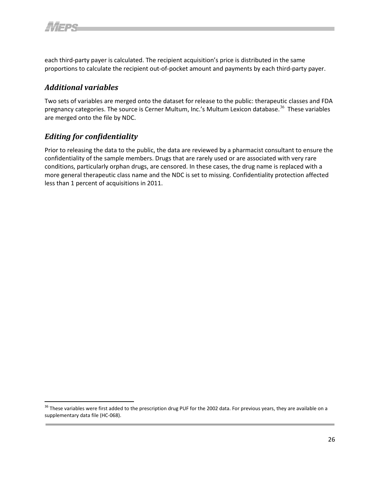each third-party payer is calculated. The recipient acquisition's price is distributed in the same proportions to calculate the recipient out-of-pocket amount and payments by each third-party payer.

#### <span id="page-28-0"></span>*Additional variables*

Two sets of variables are merged onto the dataset for release to the public: therapeutic classes and FDA pregnancy categories. The source is Cerner Multum, Inc.'s Multum Lexicon database.<sup>[36](#page-30-0)</sup> These variables are merged onto the file by NDC.

#### <span id="page-28-1"></span>*Editing for confidentiality*

Prior to releasing the data to the public, the data are reviewed by a pharmacist consultant to ensure the confidentiality of the sample members. Drugs that are rarely used or are associated with very rare conditions, particularly orphan drugs, are censored. In these cases, the drug name is replaced with a more general therapeutic class name and the NDC is set to missing. Confidentiality protection affected less than 1 percent of acquisitions in 2011.

<span id="page-28-3"></span><span id="page-28-2"></span><sup>&</sup>lt;sup>36</sup> These variables were first added to the prescription drug PUF for the 2002 data. For previous years, they are available on a supplementary data file (HC-068).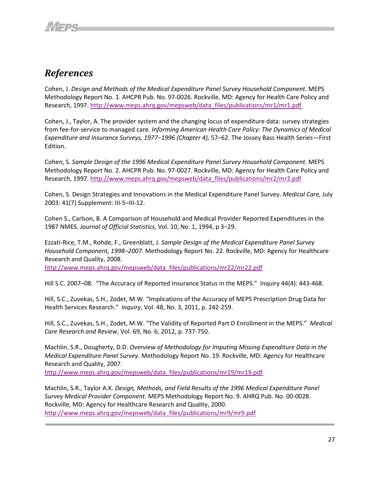# <span id="page-29-0"></span>*References*

Cohen, J. *Design and Methods of the Medical Expenditure Panel Survey Household Component.* MEPS Methodology Report No. 1. AHCPR Pub. No. 97-0026. Rockville, MD: Agency for Health Care Policy and Research, 1997[. http://www.meps.ahrq.gov/mepsweb/data\\_files/publications/mr1/mr1.](http://www.meps.ahrq.gov/mepsweb/data_files/publications/mr1/mr1.pdf)pdf

Cohen, J., Taylor, A. The provider system and the changing locus of expenditure data: survey strategies from fee-for-service to managed care. *Informing American Health Care Policy: The Dynamics of Medical Expenditure and Insurance Surveys, 1977*−*1996 (Chapter 4),* 57−62. The Jossey Bass Health Series—First Edition.

Cohen, S. *Sample Design of the 1996 Medical Expenditure Panel Survey Household Component.* MEPS Methodology Report No. 2. AHCPR Pub. No. 97-0027. Rockville, MD: Agency for Health Care Policy and Research, 1997[. http://www.meps.ahrq.gov/mepsweb/data\\_files/publications/mr2/mr2.](http://www.meps.ahrq.gov/mepsweb/data_files/publications/mr2/mr2.pdf)pdf

Cohen, S. Design Strategies and Innovations in the Medical Expenditure Panel Survey. *Medical Care,* July 2003: 41(7) Supplement: III-5–III-12.

Cohen S., Carlson, B. A Comparison of Household and Medical Provider Reported Expenditures in the 1987 NMES. *Journal of Official Statistics,* Vol. 10, No. 1, 1994, p 3−29.

Ezzati-Rice, T.M., Rohde, F., Greenblatt, J. *Sample Design of the Medical Expenditure Panel Survey Household Component, 1998*–*2007.* Methodology Report No. 22. Rockville, MD: Agency for Healthcare Research and Quality, 2008.

[http://www.meps.ahrq.gov/mepsweb/data\\_files/publications/mr22/mr22.](http://www.meps.ahrq.gov/mepsweb/data_files/publications/mr22/mr22.pdf)pdf

Hill S.C. 2007–08. "The Accuracy of Reported Insurance Status in the MEPS." Inquiry 44(4): 443-468.

Hill, S.C., Zuvekas, S.H., Zodet, M.W. "Implications of the Accuracy of MEPS Prescription Drug Data for Health Services Research." *Inquiry*, Vol. 48, No. 3, 2011, p. 242-259.

Hill, S.C., Zuvekas, S.H., Zodet, M.W. "The Validity of Reported Part D Enrollment in the MEPS." *Medical Care Research and Review*, Vol. 69, No. 6, 2012, p. 737-750.

Machlin, S.R., Dougherty, D.D. *Overview of Methodology for Imputing Missing Expenditure Data in the Medical Expenditure Panel Survey.* Methodology Report No. 19. Rockville, MD: Agency for Healthcare Research and Quality, 2007.

[http://www.meps.ahrq.gov/mepsweb/data\\_files/publications/mr19/mr19.](http://www.meps.ahrq.gov/mepsweb/data_files/publications/mr19/mr19.pdf)pdf

<span id="page-29-1"></span>Machlin, S.R., Taylor A.K. *Design, Methods, and Field Results of the 1996 Medical Expenditure Panel Survey Medical Provider Component.* MEPS Methodology Report No. 9. AHRQ Pub. No. 00-0028. Rockville, MD: Agency for Healthcare Research and Quality, 2000. [http://www.meps.ahrq.gov/mepsweb/data\\_files/publications/mr9/mr9.](http://www.meps.ahrq.gov/mepsweb/data_files/publications/mr9/mr9.pdf)pdf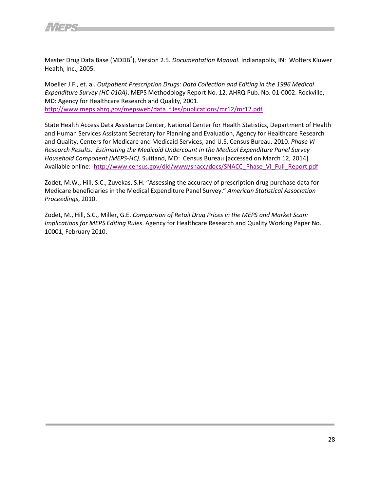

Master Drug Data Base (MDDB<sup>®</sup>), Version 2.5. *Documentation Manual*. Indianapolis, IN: Wolters Kluwer Health, Inc., 2005.

Moeller J.F., et. al. *Outpatient Prescription Drugs: Data Collection and Editing in the 1996 Medical Expenditure Survey (HC-010A)*. MEPS Methodology Report No. 12. AHRQ Pub. No. 01-0002. Rockville, MD: Agency for Healthcare Research and Quality, 2001. [http://www.meps.ahrq.gov/mepsweb/data\\_files/publications/mr12/mr12.](http://www.meps.ahrq.gov/mepsweb/data_files/publications/mr12/mr12.pdf)pdf

State Health Access Data Assistance Center, National Center for Health Statistics, Department of Health and Human Services Assistant Secretary for Planning and Evaluation, Agency for Healthcare Research and Quality, Centers for Medicare and Medicaid Services, and U.S. Census Bureau. 2010. *Phase VI Research Results: Estimating the Medicaid Undercount in the Medical Expenditure Panel Survey Household Component (MEPS-HC).* Suitland, MD: Census Bureau [accessed on March 12, 2014]. Available online: [http://www.census.gov/did/www/snacc/docs/SNACC\\_Phase\\_VI\\_Full\\_Report.pdf](http://www.census.gov/did/www/snacc/docs/SNACC_Phase_VI_Full_Report.pdf) 

Zodet, M.W., Hill, S.C., Zuvekas, S.H. "Assessing the accuracy of prescription drug purchase data for Medicare beneficiaries in the Medical Expenditure Panel Survey." *American Statistical Association Proceedings*, 2010.

<span id="page-30-0"></span>Zodet, M., Hill, S.C., Miller, G.E. *Comparison of Retail Drug Prices in the MEPS and Market Scan: Implications for MEPS Editing Rules*. Agency for Healthcare Research and Quality Working Paper No. 10001, February 2010.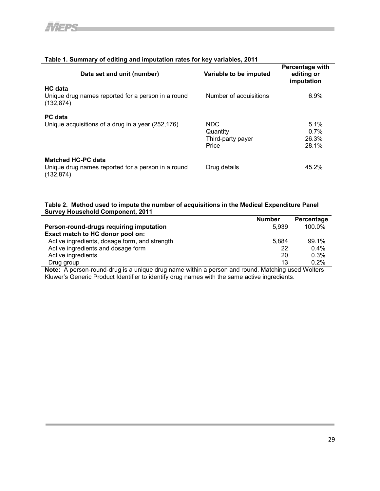| Data set and unit (number)                                                                   | Variable to be imputed                         | Percentage with<br>editing or<br>imputation |
|----------------------------------------------------------------------------------------------|------------------------------------------------|---------------------------------------------|
| HC data<br>Unique drug names reported for a person in a round<br>(132, 874)                  | Number of acquisitions                         | 6.9%                                        |
| <b>PC</b> data<br>Unique acquisitions of a drug in a year (252,176)                          | NDC.<br>Quantity<br>Third-party payer<br>Price | 5.1%<br>0.7%<br>26.3%<br>28.1%              |
| <b>Matched HC-PC data</b><br>Unique drug names reported for a person in a round<br>(132.874) | Drug details                                   | 45.2%                                       |

#### **Table 1. Summary of editing and imputation rates for key variables, 2011**

#### **Table 2. Method used to impute the number of acquisitions in the Medical Expenditure Panel Survey Household Component, 2011**

|                                               | <b>Number</b> | Percentage |
|-----------------------------------------------|---------------|------------|
| Person-round-drugs requiring imputation       | 5.939         | 100.0%     |
| Exact match to HC donor pool on:              |               |            |
| Active ingredients, dosage form, and strength | 5.884         | 99.1%      |
| Active ingredients and dosage form            | 22            | 0.4%       |
| Active ingredients                            | 20            | 0.3%       |
| Drug group                                    | 13            | 0.2%       |

**Note:** A person-round-drug is a unique drug name within a person and round. Matching used Wolters Kluwer's Generic Product Identifier to identify drug names with the same active ingredients.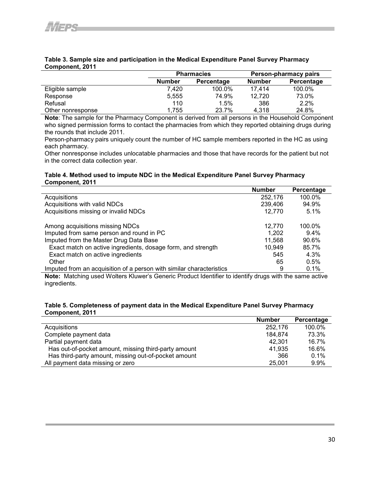|                   |               | <b>Pharmacies</b>    | Person-pharmacy pairs |            |  |
|-------------------|---------------|----------------------|-----------------------|------------|--|
|                   | <b>Number</b> | Number<br>Percentage |                       | Percentage |  |
| Eligible sample   | 7.420         | 100.0%               | 17.414                | 100.0%     |  |
| Response          | 5,555         | 74.9%                | 12,720                | 73.0%      |  |
| Refusal           | 110           | 1.5%                 | 386                   | 2.2%       |  |
| Other nonresponse | 1.755         | 23.7%                | 4.318                 | 24.8%      |  |

#### **Table 3. Sample size and participation in the Medical Expenditure Panel Survey Pharmacy Component, 2011**

**Note**: The sample for the Pharmacy Component is derived from all persons in the Household Component who signed permission forms to contact the pharmacies from which they reported obtaining drugs during the rounds that include 2011.

Person-pharmacy pairs uniquely count the number of HC sample members reported in the HC as using each pharmacy.

Other nonresponse includes unlocatable pharmacies and those that have records for the patient but not in the correct data collection year.

#### **Table 4. Method used to impute NDC in the Medical Expenditure Panel Survey Pharmacy Component, 2011**

|                                                                      | <b>Number</b> | Percentage |
|----------------------------------------------------------------------|---------------|------------|
| Acquisitions                                                         | 252,176       | 100.0%     |
| Acquisitions with valid NDCs                                         | 239,406       | 94.9%      |
| Acquisitions missing or invalid NDCs                                 | 12,770        | 5.1%       |
| Among acquisitions missing NDCs                                      | 12.770        | 100.0%     |
| Imputed from same person and round in PC                             | 1.202         | $9.4\%$    |
| Imputed from the Master Drug Data Base                               | 11.568        | 90.6%      |
| Exact match on active ingredients, dosage form, and strength         | 10.949        | 85.7%      |
| Exact match on active ingredients                                    | 545           | 4.3%       |
| Other                                                                | 65            | 0.5%       |
| Imputed from an acquisition of a person with similar characteristics | 9             | 0.1%       |

**Note:** Matching used Wolters Kluwer's Generic Product Identifier to identify drugs with the same active ingredients.

#### **Table 5. Completeness of payment data in the Medical Expenditure Panel Survey Pharmacy Component, 2011**

|                                                      | <b>Number</b> | Percentage |
|------------------------------------------------------|---------------|------------|
| Acquisitions                                         | 252.176       | 100.0%     |
| Complete payment data                                | 184.874       | 73.3%      |
| Partial payment data                                 | 42.301        | 16.7%      |
| Has out-of-pocket amount, missing third-party amount | 41.935        | 16.6%      |
| Has third-party amount, missing out-of-pocket amount | 366           | 0.1%       |
| All payment data missing or zero                     | 25,001        | $9.9\%$    |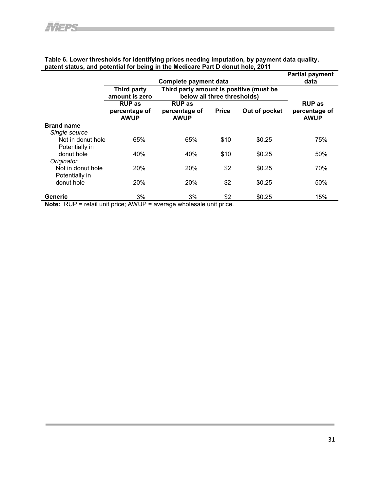|                               |                                                      | Complete payment data                                                          |                                          |        | <b>Partial payment</b><br>data                |
|-------------------------------|------------------------------------------------------|--------------------------------------------------------------------------------|------------------------------------------|--------|-----------------------------------------------|
|                               | Third party<br>amount is zero                        | Third party amount is positive (must be<br>below all three thresholds)         |                                          |        |                                               |
|                               | <b>RUP as</b><br>percentage of<br><b>AWUP</b>        | <b>RUP</b> as<br>Out of pocket<br>percentage of<br><b>Price</b><br><b>AWUP</b> |                                          |        | <b>RUP as</b><br>percentage of<br><b>AWUP</b> |
| <b>Brand name</b>             |                                                      |                                                                                |                                          |        |                                               |
| Single source                 |                                                      |                                                                                |                                          |        |                                               |
| Not in donut hole             | 65%                                                  | 65%                                                                            | \$10                                     | \$0.25 | 75%                                           |
| Potentially in                |                                                      |                                                                                |                                          |        |                                               |
| donut hole                    | 40%                                                  | 40%                                                                            | \$10                                     | \$0.25 | 50%                                           |
| Originator                    |                                                      |                                                                                |                                          |        |                                               |
| Not in donut hole             | 20%                                                  | 20%                                                                            | \$2                                      | \$0.25 | 70%                                           |
| Potentially in                |                                                      |                                                                                |                                          |        |                                               |
| donut hole                    | 20%                                                  | 20%                                                                            | \$2                                      | \$0.25 | 50%                                           |
|                               |                                                      |                                                                                |                                          |        |                                               |
| Generic<br>$\sim$ $\sim$<br>. | 3%<br>and the contract of the contract of<br>1.11117 | 3%<br>.                                                                        | \$2<br><b>Contract Contract Contract</b> | \$0.25 | 15%                                           |

#### **Table 6. Lower thresholds for identifying prices needing imputation, by payment data quality, patent status, and potential for being in the Medicare Part D donut hole, 2011**

**Note:** RUP = retail unit price; AWUP = average wholesale unit price.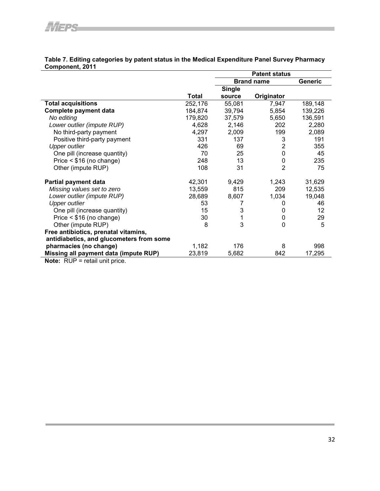|                                          |              |                   | <b>Patent status</b> |                |
|------------------------------------------|--------------|-------------------|----------------------|----------------|
|                                          |              | <b>Brand name</b> |                      | <b>Generic</b> |
|                                          |              | <b>Single</b>     |                      |                |
|                                          | <b>Total</b> | source            | Originator           |                |
| <b>Total acquisitions</b>                | 252,176      | 55,081            | 7,947                | 189,148        |
| Complete payment data                    | 184,874      | 39,794            | 5,854                | 139,226        |
| No editing                               | 179,820      | 37,579            | 5,650                | 136,591        |
| Lower outlier (impute RUP)               | 4,628        | 2,146             | 202                  | 2,280          |
| No third-party payment                   | 4,297        | 2,009             | 199                  | 2,089          |
| Positive third-party payment             | 331          | 137               | 3                    | 191            |
| <b>Upper outlier</b>                     | 426          | 69                | $\overline{2}$       | 355            |
| One pill (increase quantity)             | 70           | 25                | $\mathbf 0$          | 45             |
| Price $\leq$ \$16 (no change)            | 248          | 13                | $\mathbf 0$          | 235            |
| Other (impute RUP)                       | 108          | 31                | $\overline{2}$       | 75             |
| Partial payment data                     | 42,301       | 9,429             | 1,243                | 31,629         |
| Missing values set to zero               | 13,559       | 815               | 209                  | 12,535         |
| Lower outlier (impute RUP)               | 28,689       | 8,607             | 1,034                | 19,048         |
| <b>Upper outlier</b>                     | 53           | 7                 | 0                    | 46             |
| One pill (increase quantity)             | 15           | 3                 | 0                    | 12             |
| Price $\leq$ \$16 (no change)            | 30           |                   | $\pmb{0}$            | 29             |
| Other (impute RUP)                       | 8            | 3                 | $\overline{0}$       | 5              |
| Free antibiotics, prenatal vitamins,     |              |                   |                      |                |
| antidiabetics, and glucometers from some |              |                   |                      |                |
| pharmacies (no change)                   | 1,182        | 176               | 8                    | 998            |
| Missing all payment data (impute RUP)    | 23,819       | 5,682             | 842                  | 17,295         |
| $N \cdot 2$                              |              |                   |                      |                |

#### **Table 7. Editing categories by patent status in the Medical Expenditure Panel Survey Pharmacy Component, 2011**

**Note:** RUP = retail unit price.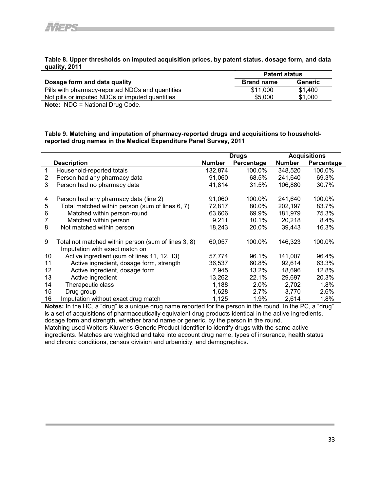#### **Table 8. Upper thresholds on imputed acquisition prices, by patent status, dosage form, and data quality, 2011**

|                                                  | <b>Patent status</b> |         |  |
|--------------------------------------------------|----------------------|---------|--|
| Dosage form and data quality                     | <b>Brand name</b>    | Generic |  |
| Pills with pharmacy-reported NDCs and quantities | \$11,000             | \$1,400 |  |
| Not pills or imputed NDCs or imputed quantities  | \$5,000              | \$1,000 |  |
| .<br>$\cdots$                                    |                      |         |  |

**Note:** NDC = National Drug Code.

**Table 9. Matching and imputation of pharmacy-reported drugs and acquisitions to householdreported drug names in the Medical Expenditure Panel Survey, 2011** 

|                   |                                                                                       | <b>Acquisitions</b><br><b>Drugs</b> |            |               |            |
|-------------------|---------------------------------------------------------------------------------------|-------------------------------------|------------|---------------|------------|
|                   | <b>Description</b>                                                                    | <b>Number</b>                       | Percentage | <b>Number</b> | Percentage |
| 1                 | Household-reported totals                                                             | 132,874                             | 100.0%     | 348,520       | 100.0%     |
| 2                 | Person had any pharmacy data                                                          | 91,060                              | 68.5%      | 241,640       | 69.3%      |
| 3                 | Person had no pharmacy data                                                           | 41,814                              | 31.5%      | 106,880       | 30.7%      |
| 4                 | Person had any pharmacy data (line 2)                                                 | 91,060                              | 100.0%     | 241,640       | 100.0%     |
| 5                 | Total matched within person (sum of lines 6, 7)                                       | 72,817                              | 80.0%      | 202,197       | 83.7%      |
| 6                 | Matched within person-round                                                           | 63,606                              | 69.9%      | 181,979       | 75.3%      |
| 7                 | Matched within person                                                                 | 9,211                               | 10.1%      | 20,218        | 8.4%       |
| 8                 | Not matched within person                                                             | 18,243                              | 20.0%      | 39,443        | 16.3%      |
| 9                 | Total not matched within person (sum of lines 3, 8)<br>Imputation with exact match on | 60,057                              | 100.0%     | 146,323       | 100.0%     |
| 10                | Active ingredient (sum of lines 11, 12, 13)                                           | 57.774                              | 96.1%      | 141.007       | 96.4%      |
| 11                | Active ingredient, dosage form, strength                                              | 36,537                              | 60.8%      | 92,614        | 63.3%      |
| $12 \overline{ }$ | Active ingredient, dosage form                                                        | 7,945                               | 13.2%      | 18,696        | 12.8%      |
| 13                | Active ingredient                                                                     | 13,262                              | 22.1%      | 29,697        | 20.3%      |
| 14                | Therapeutic class                                                                     | 1,188                               | $2.0\%$    | 2,702         | 1.8%       |
| 15                | Drug group                                                                            | 1,628                               | $2.7\%$    | 3,770         | 2.6%       |
| 16                | Imputation without exact drug match                                                   | 1,125                               | 1.9%       | 2,614         | 1.8%       |

**Notes:** In the HC, a "drug" is a unique drug name reported for the person in the round. In the PC, a "drug" is a set of acquisitions of pharmaceutically equivalent drug products identical in the active ingredients, dosage form and strength, whether brand name or generic, by the person in the round. Matching used Wolters Kluwer's Generic Product Identifier to identify drugs with the same active ingredients. Matches are weighted and take into account drug name, types of insurance, health status

and chronic conditions, census division and urbanicity, and demographics.